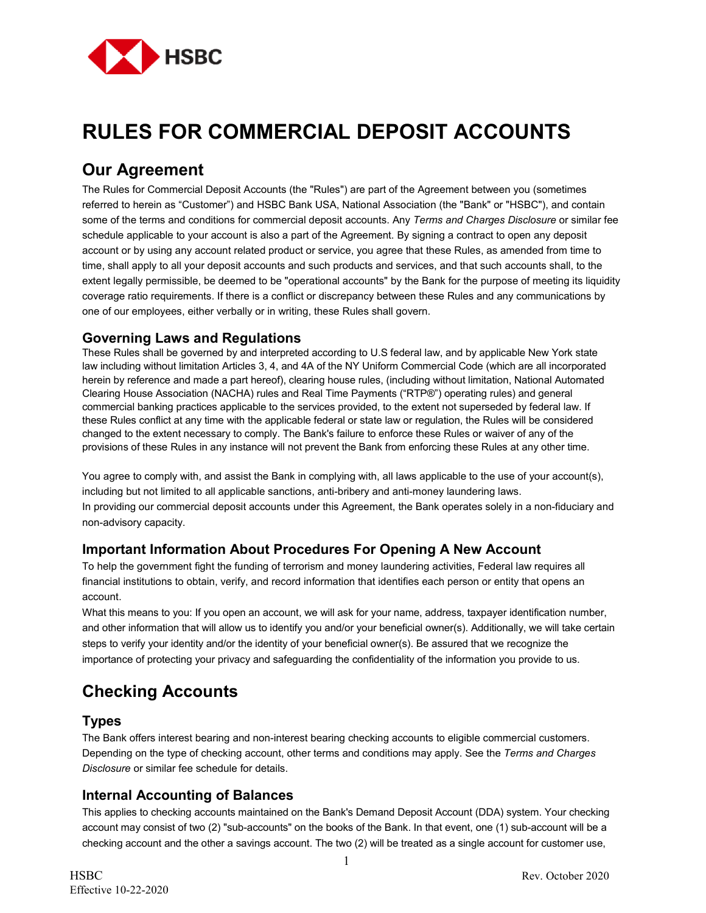

# **RULES FOR COMMERCIAL DEPOSIT ACCOUNTS**

# **Our Agreement**

The Rules for Commercial Deposit Accounts (the "Rules") are part of the Agreement between you (sometimes referred to herein as "Customer") and HSBC Bank USA, National Association (the "Bank" or "HSBC"), and contain some of the terms and conditions for commercial deposit accounts. Any *Terms and Charges Disclosure* or similar fee schedule applicable to your account is also a part of the Agreement. By signing a contract to open any deposit account or by using any account related product or service, you agree that these Rules, as amended from time to time, shall apply to all your deposit accounts and such products and services, and that such accounts shall, to the extent legally permissible, be deemed to be "operational accounts" by the Bank for the purpose of meeting its liquidity coverage ratio requirements. If there is a conflict or discrepancy between these Rules and any communications by one of our employees, either verbally or in writing, these Rules shall govern.

### **Governing Laws and Regulations**

These Rules shall be governed by and interpreted according to U.S federal law, and by applicable New York state law including without limitation Articles 3, 4, and 4A of the NY Uniform Commercial Code (which are all incorporated herein by reference and made a part hereof), clearing house rules, (including without limitation, National Automated Clearing House Association (NACHA) rules and Real Time Payments ("RTP®") operating rules) and general commercial banking practices applicable to the services provided, to the extent not superseded by federal law. If these Rules conflict at any time with the applicable federal or state law or regulation, the Rules will be considered changed to the extent necessary to comply. The Bank's failure to enforce these Rules or waiver of any of the provisions of these Rules in any instance will not prevent the Bank from enforcing these Rules at any other time.

You agree to comply with, and assist the Bank in complying with, all laws applicable to the use of your account(s), including but not limited to all applicable sanctions, anti-bribery and anti-money laundering laws. In providing our commercial deposit accounts under this Agreement, the Bank operates solely in a non-fiduciary and non-advisory capacity.

### **Important Information About Procedures For Opening A New Account**

To help the government fight the funding of terrorism and money laundering activities, Federal law requires all financial institutions to obtain, verify, and record information that identifies each person or entity that opens an account.

What this means to you: If you open an account, we will ask for your name, address, taxpayer identification number, and other information that will allow us to identify you and/or your beneficial owner(s). Additionally, we will take certain steps to verify your identity and/or the identity of your beneficial owner(s). Be assured that we recognize the importance of protecting your privacy and safeguarding the confidentiality of the information you provide to us.

# **Checking Accounts**

### **Types**

The Bank offers interest bearing and non-interest bearing checking accounts to eligible commercial customers. Depending on the type of checking account, other terms and conditions may apply. See the *Terms and Charges Disclosure* or similar fee schedule for details.

### **Internal Accounting of Balances**

This applies to checking accounts maintained on the Bank's Demand Deposit Account (DDA) system. Your checking account may consist of two (2) "sub-accounts" on the books of the Bank. In that event, one (1) sub-account will be a checking account and the other a savings account. The two (2) will be treated as a single account for customer use,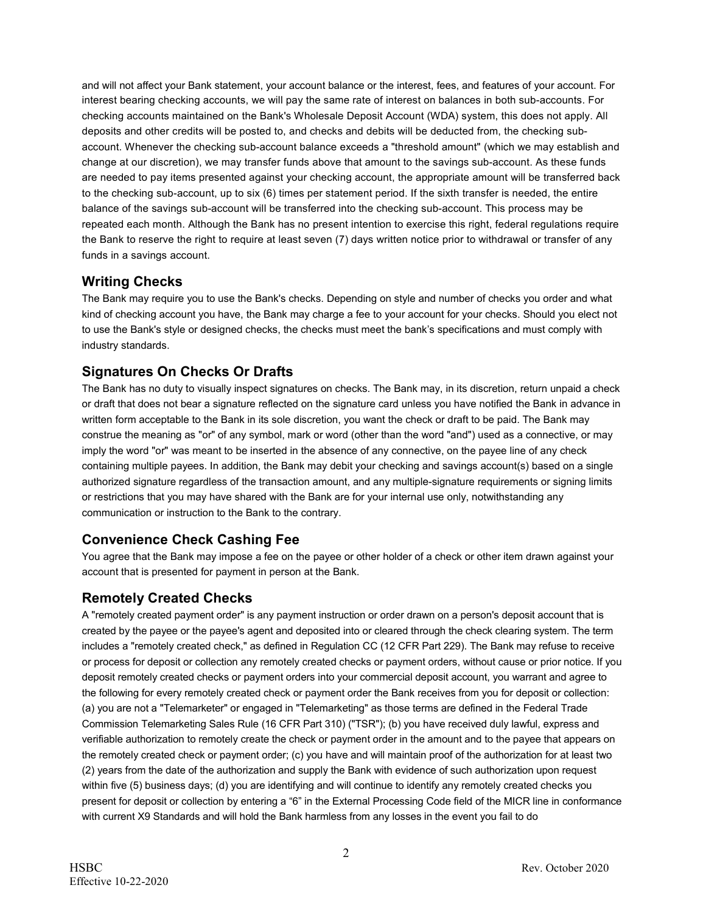and will not affect your Bank statement, your account balance or the interest, fees, and features of your account. For interest bearing checking accounts, we will pay the same rate of interest on balances in both sub-accounts. For checking accounts maintained on the Bank's Wholesale Deposit Account (WDA) system, this does not apply. All deposits and other credits will be posted to, and checks and debits will be deducted from, the checking subaccount. Whenever the checking sub-account balance exceeds a "threshold amount" (which we may establish and change at our discretion), we may transfer funds above that amount to the savings sub-account. As these funds are needed to pay items presented against your checking account, the appropriate amount will be transferred back to the checking sub-account, up to six (6) times per statement period. If the sixth transfer is needed, the entire balance of the savings sub-account will be transferred into the checking sub-account. This process may be repeated each month. Although the Bank has no present intention to exercise this right, federal regulations require the Bank to reserve the right to require at least seven (7) days written notice prior to withdrawal or transfer of any funds in a savings account.

### **Writing Checks**

The Bank may require you to use the Bank's checks. Depending on style and number of checks you order and what kind of checking account you have, the Bank may charge a fee to your account for your checks. Should you elect not to use the Bank's style or designed checks, the checks must meet the bank's specifications and must comply with industry standards.

# **Signatures On Checks Or Drafts**

The Bank has no duty to visually inspect signatures on checks. The Bank may, in its discretion, return unpaid a check or draft that does not bear a signature reflected on the signature card unless you have notified the Bank in advance in written form acceptable to the Bank in its sole discretion, you want the check or draft to be paid. The Bank may construe the meaning as "or" of any symbol, mark or word (other than the word "and") used as a connective, or may imply the word "or" was meant to be inserted in the absence of any connective, on the payee line of any check containing multiple payees. In addition, the Bank may debit your checking and savings account(s) based on a single authorized signature regardless of the transaction amount, and any multiple-signature requirements or signing limits or restrictions that you may have shared with the Bank are for your internal use only, notwithstanding any communication or instruction to the Bank to the contrary.

# **Convenience Check Cashing Fee**

You agree that the Bank may impose a fee on the payee or other holder of a check or other item drawn against your account that is presented for payment in person at the Bank.

# **Remotely Created Checks**

A "remotely created payment order" is any payment instruction or order drawn on a person's deposit account that is created by the payee or the payee's agent and deposited into or cleared through the check clearing system. The term includes a "remotely created check," as defined in Regulation CC (12 CFR Part 229). The Bank may refuse to receive or process for deposit or collection any remotely created checks or payment orders, without cause or prior notice. If you deposit remotely created checks or payment orders into your commercial deposit account, you warrant and agree to the following for every remotely created check or payment order the Bank receives from you for deposit or collection: (a) you are not a "Telemarketer" or engaged in "Telemarketing" as those terms are defined in the Federal Trade Commission Telemarketing Sales Rule (16 CFR Part 310) ("TSR"); (b) you have received duly lawful, express and verifiable authorization to remotely create the check or payment order in the amount and to the payee that appears on the remotely created check or payment order; (c) you have and will maintain proof of the authorization for at least two (2) years from the date of the authorization and supply the Bank with evidence of such authorization upon request within five (5) business days; (d) you are identifying and will continue to identify any remotely created checks you present for deposit or collection by entering a "6" in the External Processing Code field of the MICR line in conformance with current X9 Standards and will hold the Bank harmless from any losses in the event you fail to do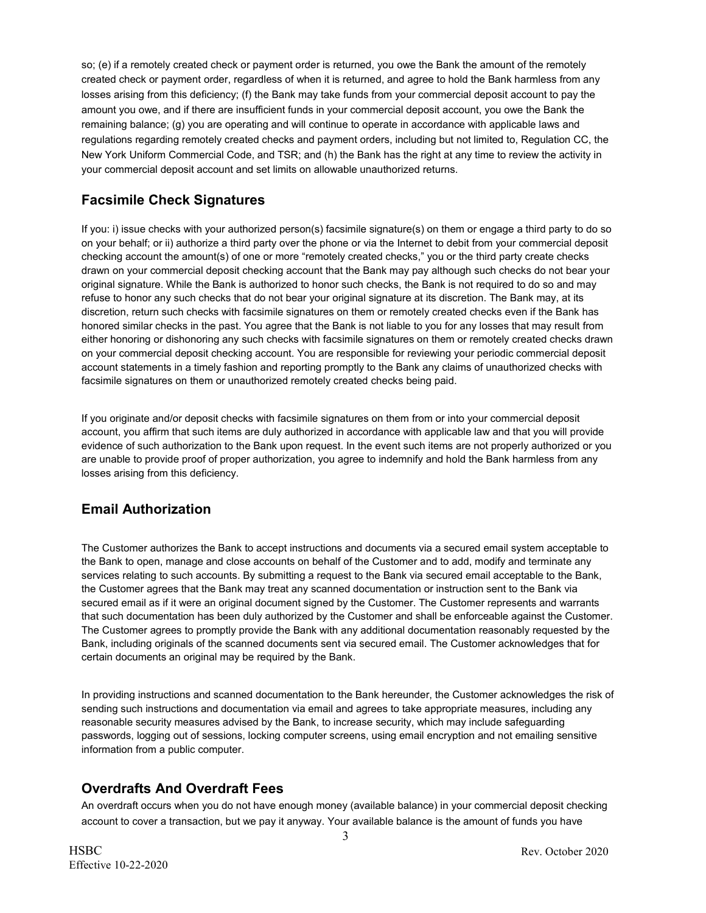so; (e) if a remotely created check or payment order is returned, you owe the Bank the amount of the remotely created check or payment order, regardless of when it is returned, and agree to hold the Bank harmless from any losses arising from this deficiency; (f) the Bank may take funds from your commercial deposit account to pay the amount you owe, and if there are insufficient funds in your commercial deposit account, you owe the Bank the remaining balance; (g) you are operating and will continue to operate in accordance with applicable laws and regulations regarding remotely created checks and payment orders, including but not limited to, Regulation CC, the New York Uniform Commercial Code, and TSR; and (h) the Bank has the right at any time to review the activity in your commercial deposit account and set limits on allowable unauthorized returns.

# **Facsimile Check Signatures**

If you: i) issue checks with your authorized person(s) facsimile signature(s) on them or engage a third party to do so on your behalf; or ii) authorize a third party over the phone or via the Internet to debit from your commercial deposit checking account the amount(s) of one or more "remotely created checks," you or the third party create checks drawn on your commercial deposit checking account that the Bank may pay although such checks do not bear your original signature. While the Bank is authorized to honor such checks, the Bank is not required to do so and may refuse to honor any such checks that do not bear your original signature at its discretion. The Bank may, at its discretion, return such checks with facsimile signatures on them or remotely created checks even if the Bank has honored similar checks in the past. You agree that the Bank is not liable to you for any losses that may result from either honoring or dishonoring any such checks with facsimile signatures on them or remotely created checks drawn on your commercial deposit checking account. You are responsible for reviewing your periodic commercial deposit account statements in a timely fashion and reporting promptly to the Bank any claims of unauthorized checks with facsimile signatures on them or unauthorized remotely created checks being paid.

If you originate and/or deposit checks with facsimile signatures on them from or into your commercial deposit account, you affirm that such items are duly authorized in accordance with applicable law and that you will provide evidence of such authorization to the Bank upon request. In the event such items are not properly authorized or you are unable to provide proof of proper authorization, you agree to indemnify and hold the Bank harmless from any losses arising from this deficiency.

### **Email Authorization**

The Customer authorizes the Bank to accept instructions and documents via a secured email system acceptable to the Bank to open, manage and close accounts on behalf of the Customer and to add, modify and terminate any services relating to such accounts. By submitting a request to the Bank via secured email acceptable to the Bank, the Customer agrees that the Bank may treat any scanned documentation or instruction sent to the Bank via secured email as if it were an original document signed by the Customer. The Customer represents and warrants that such documentation has been duly authorized by the Customer and shall be enforceable against the Customer. The Customer agrees to promptly provide the Bank with any additional documentation reasonably requested by the Bank, including originals of the scanned documents sent via secured email. The Customer acknowledges that for certain documents an original may be required by the Bank.

In providing instructions and scanned documentation to the Bank hereunder, the Customer acknowledges the risk of sending such instructions and documentation via email and agrees to take appropriate measures, including any reasonable security measures advised by the Bank, to increase security, which may include safeguarding passwords, logging out of sessions, locking computer screens, using email encryption and not emailing sensitive information from a public computer.

# **Overdrafts And Overdraft Fees**

An overdraft occurs when you do not have enough money (available balance) in your commercial deposit checking account to cover a transaction, but we pay it anyway. Your available balance is the amount of funds you have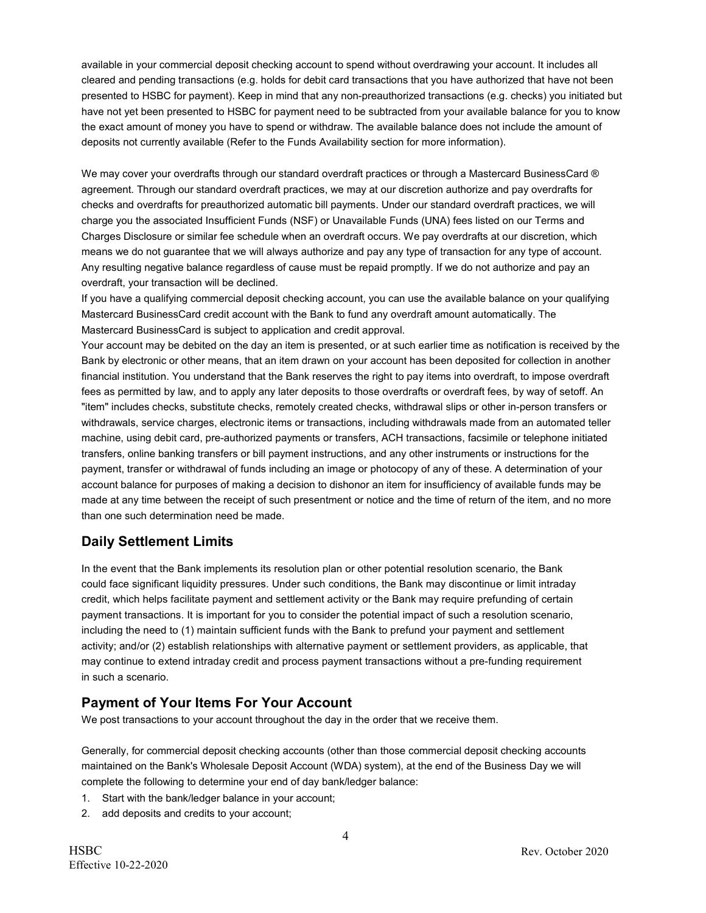available in your commercial deposit checking account to spend without overdrawing your account. It includes all cleared and pending transactions (e.g. holds for debit card transactions that you have authorized that have not been presented to HSBC for payment). Keep in mind that any non-preauthorized transactions (e.g. checks) you initiated but have not yet been presented to HSBC for payment need to be subtracted from your available balance for you to know the exact amount of money you have to spend or withdraw. The available balance does not include the amount of deposits not currently available (Refer to the Funds Availability section for more information).

We may cover your overdrafts through our standard overdraft practices or through a Mastercard BusinessCard ® agreement. Through our standard overdraft practices, we may at our discretion authorize and pay overdrafts for checks and overdrafts for preauthorized automatic bill payments. Under our standard overdraft practices, we will charge you the associated Insufficient Funds (NSF) or Unavailable Funds (UNA) fees listed on our Terms and Charges Disclosure or similar fee schedule when an overdraft occurs. We pay overdrafts at our discretion, which means we do not guarantee that we will always authorize and pay any type of transaction for any type of account. Any resulting negative balance regardless of cause must be repaid promptly. If we do not authorize and pay an overdraft, your transaction will be declined.

If you have a qualifying commercial deposit checking account, you can use the available balance on your qualifying Mastercard BusinessCard credit account with the Bank to fund any overdraft amount automatically. The Mastercard BusinessCard is subject to application and credit approval.

Your account may be debited on the day an item is presented, or at such earlier time as notification is received by the Bank by electronic or other means, that an item drawn on your account has been deposited for collection in another financial institution. You understand that the Bank reserves the right to pay items into overdraft, to impose overdraft fees as permitted by law, and to apply any later deposits to those overdrafts or overdraft fees, by way of setoff. An "item" includes checks, substitute checks, remotely created checks, withdrawal slips or other in-person transfers or withdrawals, service charges, electronic items or transactions, including withdrawals made from an automated teller machine, using debit card, pre-authorized payments or transfers, ACH transactions, facsimile or telephone initiated transfers, online banking transfers or bill payment instructions, and any other instruments or instructions for the payment, transfer or withdrawal of funds including an image or photocopy of any of these. A determination of your account balance for purposes of making a decision to dishonor an item for insufficiency of available funds may be made at any time between the receipt of such presentment or notice and the time of return of the item, and no more than one such determination need be made.

# **Daily Settlement Limits**

In the event that the Bank implements its resolution plan or other potential resolution scenario, the Bank could face significant liquidity pressures. Under such conditions, the Bank may discontinue or limit intraday credit, which helps facilitate payment and settlement activity or the Bank may require prefunding of certain payment transactions. It is important for you to consider the potential impact of such a resolution scenario, including the need to (1) maintain sufficient funds with the Bank to prefund your payment and settlement activity; and/or (2) establish relationships with alternative payment or settlement providers, as applicable, that may continue to extend intraday credit and process payment transactions without a pre-funding requirement in such a scenario.

# **Payment of Your Items For Your Account**

We post transactions to your account throughout the day in the order that we receive them.

Generally, for commercial deposit checking accounts (other than those commercial deposit checking accounts maintained on the Bank's Wholesale Deposit Account (WDA) system), at the end of the Business Day we will complete the following to determine your end of day bank/ledger balance:

- 1. Start with the bank/ledger balance in your account;
- 2. add deposits and credits to your account;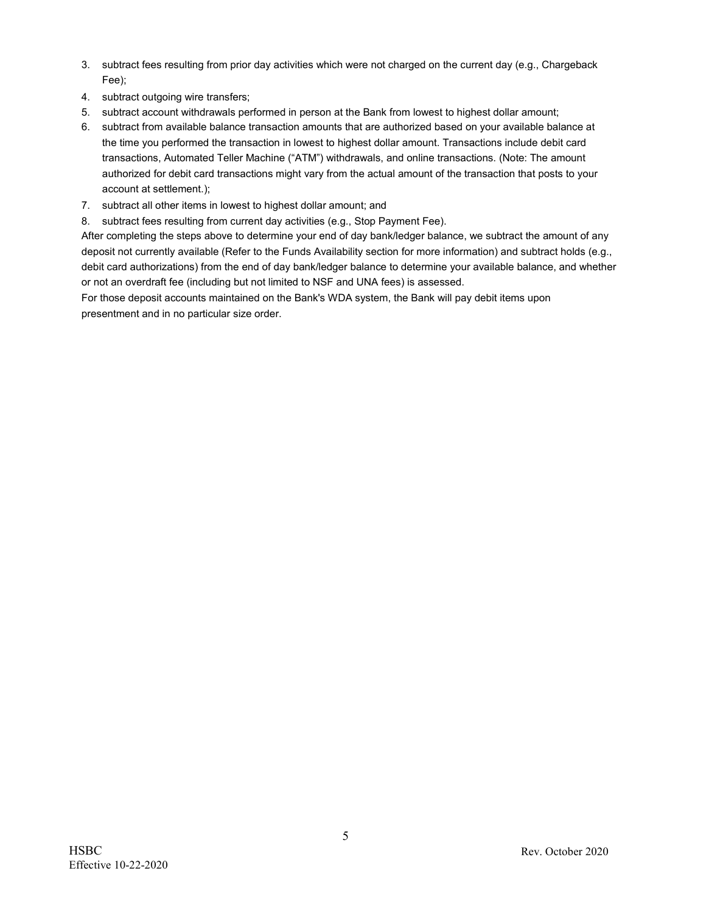- 3. subtract fees resulting from prior day activities which were not charged on the current day (e.g., Chargeback Fee);
- 4. subtract outgoing wire transfers;
- 5. subtract account withdrawals performed in person at the Bank from lowest to highest dollar amount;
- 6. subtract from available balance transaction amounts that are authorized based on your available balance at the time you performed the transaction in lowest to highest dollar amount. Transactions include debit card transactions, Automated Teller Machine ("ATM") withdrawals, and online transactions. (Note: The amount authorized for debit card transactions might vary from the actual amount of the transaction that posts to your account at settlement.);
- 7. subtract all other items in lowest to highest dollar amount; and
- 8. subtract fees resulting from current day activities (e.g., Stop Payment Fee).

After completing the steps above to determine your end of day bank/ledger balance, we subtract the amount of any deposit not currently available (Refer to the Funds Availability section for more information) and subtract holds (e.g., debit card authorizations) from the end of day bank/ledger balance to determine your available balance, and whether or not an overdraft fee (including but not limited to NSF and UNA fees) is assessed.

For those deposit accounts maintained on the Bank's WDA system, the Bank will pay debit items upon presentment and in no particular size order.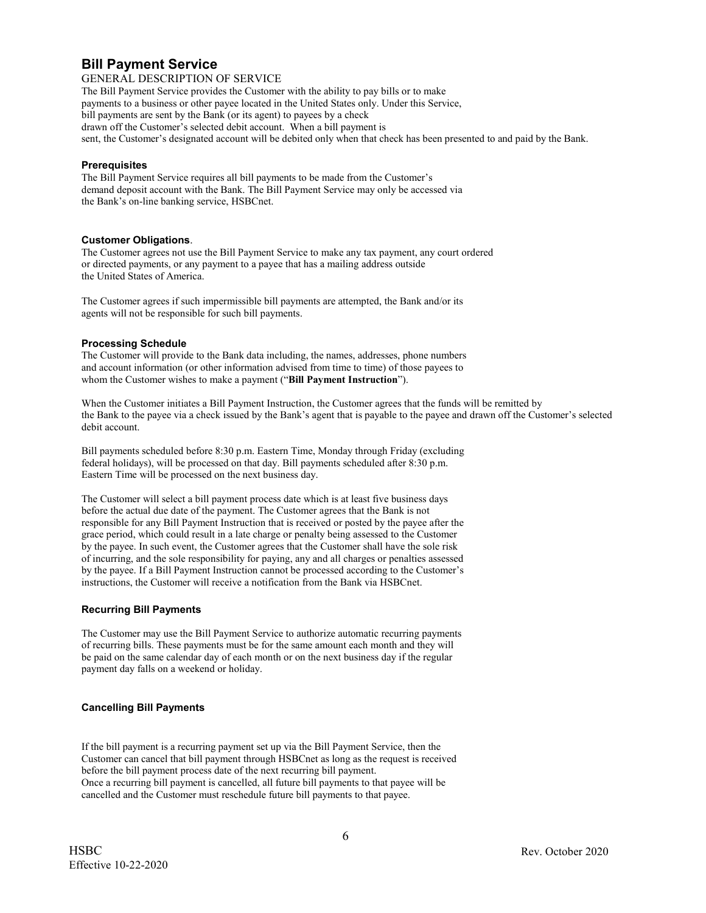### **Bill Payment Service**

GENERAL DESCRIPTION OF SERVICE

The Bill Payment Service provides the Customer with the ability to pay bills or to make payments to a business or other payee located in the United States only. Under this Service, bill payments are sent by the Bank (or its agent) to payees by a check drawn off the Customer's selected debit account. When a bill payment is sent, the Customer's designated account will be debited only when that check has been presented to and paid by the Bank.

#### **Prerequisites**

The Bill Payment Service requires all bill payments to be made from the Customer's demand deposit account with the Bank. The Bill Payment Service may only be accessed via the Bank's on-line banking service, HSBCnet.

#### **Customer Obligations**.

The Customer agrees not use the Bill Payment Service to make any tax payment, any court ordered or directed payments, or any payment to a payee that has a mailing address outside the United States of America.

The Customer agrees if such impermissible bill payments are attempted, the Bank and/or its agents will not be responsible for such bill payments.

#### **Processing Schedule**

The Customer will provide to the Bank data including, the names, addresses, phone numbers and account information (or other information advised from time to time) of those payees to whom the Customer wishes to make a payment ("**Bill Payment Instruction**").

When the Customer initiates a Bill Payment Instruction, the Customer agrees that the funds will be remitted by the Bank to the payee via a check issued by the Bank's agent that is payable to the payee and drawn off the Customer's selected debit account.

Bill payments scheduled before 8:30 p.m. Eastern Time, Monday through Friday (excluding federal holidays), will be processed on that day. Bill payments scheduled after 8:30 p.m. Eastern Time will be processed on the next business day.

The Customer will select a bill payment process date which is at least five business days before the actual due date of the payment. The Customer agrees that the Bank is not responsible for any Bill Payment Instruction that is received or posted by the payee after the grace period, which could result in a late charge or penalty being assessed to the Customer by the payee. In such event, the Customer agrees that the Customer shall have the sole risk of incurring, and the sole responsibility for paying, any and all charges or penalties assessed by the payee. If a Bill Payment Instruction cannot be processed according to the Customer's instructions, the Customer will receive a notification from the Bank via HSBCnet.

#### **Recurring Bill Payments**

The Customer may use the Bill Payment Service to authorize automatic recurring payments of recurring bills. These payments must be for the same amount each month and they will be paid on the same calendar day of each month or on the next business day if the regular payment day falls on a weekend or holiday.

#### **Cancelling Bill Payments**

If the bill payment is a recurring payment set up via the Bill Payment Service, then the Customer can cancel that bill payment through HSBCnet as long as the request is received before the bill payment process date of the next recurring bill payment. Once a recurring bill payment is cancelled, all future bill payments to that payee will be cancelled and the Customer must reschedule future bill payments to that payee.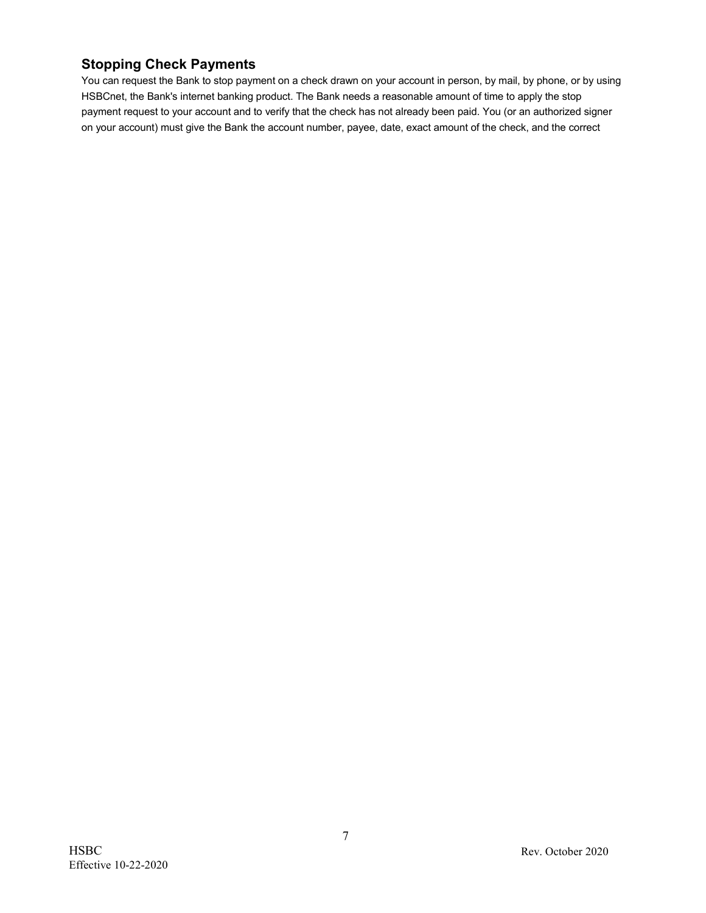# **Stopping Check Payments**

You can request the Bank to stop payment on a check drawn on your account in person, by mail, by phone, or by using HSBCnet, the Bank's internet banking product. The Bank needs a reasonable amount of time to apply the stop payment request to your account and to verify that the check has not already been paid. You (or an authorized signer on your account) must give the Bank the account number, payee, date, exact amount of the check, and the correct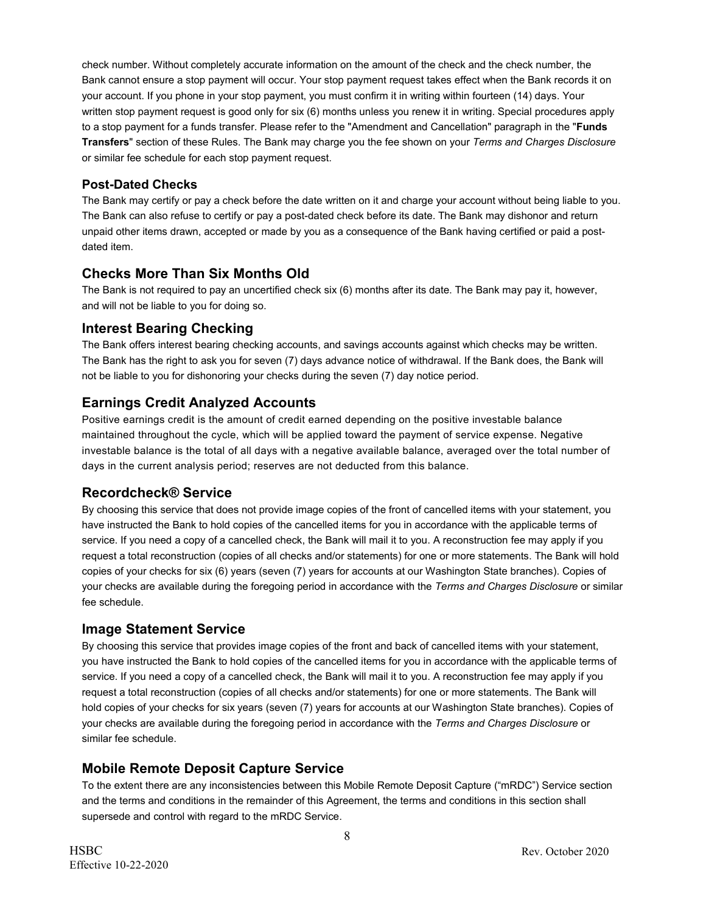check number. Without completely accurate information on the amount of the check and the check number, the Bank cannot ensure a stop payment will occur. Your stop payment request takes effect when the Bank records it on your account. If you phone in your stop payment, you must confirm it in writing within fourteen (14) days. Your written stop payment request is good only for six (6) months unless you renew it in writing. Special procedures apply to a stop payment for a funds transfer. Please refer to the "Amendment and Cancellation" paragraph in the "**Funds Transfers**" section of these Rules. The Bank may charge you the fee shown on your *Terms and Charges Disclosure*  or similar fee schedule for each stop payment request.

### **Post-Dated Checks**

The Bank may certify or pay a check before the date written on it and charge your account without being liable to you. The Bank can also refuse to certify or pay a post-dated check before its date. The Bank may dishonor and return unpaid other items drawn, accepted or made by you as a consequence of the Bank having certified or paid a postdated item.

# **Checks More Than Six Months Old**

The Bank is not required to pay an uncertified check six (6) months after its date. The Bank may pay it, however, and will not be liable to you for doing so.

### **Interest Bearing Checking**

The Bank offers interest bearing checking accounts, and savings accounts against which checks may be written. The Bank has the right to ask you for seven (7) days advance notice of withdrawal. If the Bank does, the Bank will not be liable to you for dishonoring your checks during the seven (7) day notice period.

# **Earnings Credit Analyzed Accounts**

Positive earnings credit is the amount of credit earned depending on the positive investable balance maintained throughout the cycle, which will be applied toward the payment of service expense. Negative investable balance is the total of all days with a negative available balance, averaged over the total number of days in the current analysis period; reserves are not deducted from this balance.

### **Recordcheck® Service**

By choosing this service that does not provide image copies of the front of cancelled items with your statement, you have instructed the Bank to hold copies of the cancelled items for you in accordance with the applicable terms of service. If you need a copy of a cancelled check, the Bank will mail it to you. A reconstruction fee may apply if you request a total reconstruction (copies of all checks and/or statements) for one or more statements. The Bank will hold copies of your checks for six (6) years (seven (7) years for accounts at our Washington State branches). Copies of your checks are available during the foregoing period in accordance with the *Terms and Charges Disclosure* or similar fee schedule.

### **Image Statement Service**

By choosing this service that provides image copies of the front and back of cancelled items with your statement, you have instructed the Bank to hold copies of the cancelled items for you in accordance with the applicable terms of service. If you need a copy of a cancelled check, the Bank will mail it to you. A reconstruction fee may apply if you request a total reconstruction (copies of all checks and/or statements) for one or more statements. The Bank will hold copies of your checks for six years (seven (7) years for accounts at our Washington State branches). Copies of your checks are available during the foregoing period in accordance with the *Terms and Charges Disclosure* or similar fee schedule.

# **Mobile Remote Deposit Capture Service**

To the extent there are any inconsistencies between this Mobile Remote Deposit Capture ("mRDC") Service section and the terms and conditions in the remainder of this Agreement, the terms and conditions in this section shall supersede and control with regard to the mRDC Service.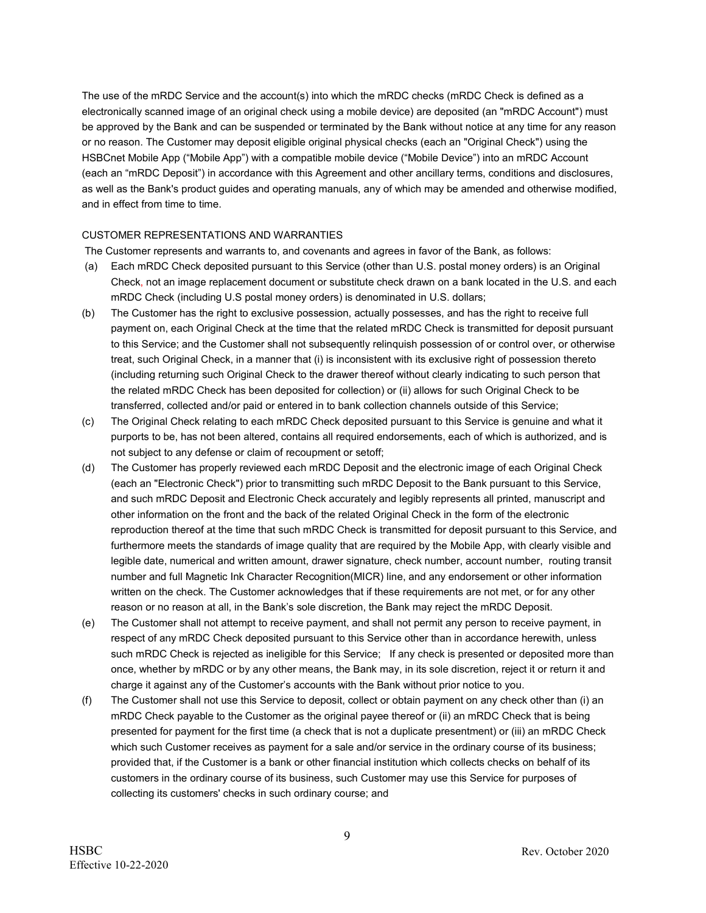The use of the mRDC Service and the account(s) into which the mRDC checks (mRDC Check is defined as a electronically scanned image of an original check using a mobile device) are deposited (an "mRDC Account") must be approved by the Bank and can be suspended or terminated by the Bank without notice at any time for any reason or no reason. The Customer may deposit eligible original physical checks (each an "Original Check") using the HSBCnet Mobile App ("Mobile App") with a compatible mobile device ("Mobile Device") into an mRDC Account (each an "mRDC Deposit") in accordance with this Agreement and other ancillary terms, conditions and disclosures, as well as the Bank's product guides and operating manuals, any of which may be amended and otherwise modified, and in effect from time to time.

#### CUSTOMER REPRESENTATIONS AND WARRANTIES

The Customer represents and warrants to, and covenants and agrees in favor of the Bank, as follows:

- (a) Each mRDC Check deposited pursuant to this Service (other than U.S. postal money orders) is an Original Check, not an image replacement document or substitute check drawn on a bank located in the U.S. and each mRDC Check (including U.S postal money orders) is denominated in U.S. dollars;
- (b) The Customer has the right to exclusive possession, actually possesses, and has the right to receive full payment on, each Original Check at the time that the related mRDC Check is transmitted for deposit pursuant to this Service; and the Customer shall not subsequently relinquish possession of or control over, or otherwise treat, such Original Check, in a manner that (i) is inconsistent with its exclusive right of possession thereto (including returning such Original Check to the drawer thereof without clearly indicating to such person that the related mRDC Check has been deposited for collection) or (ii) allows for such Original Check to be transferred, collected and/or paid or entered in to bank collection channels outside of this Service;
- (c) The Original Check relating to each mRDC Check deposited pursuant to this Service is genuine and what it purports to be, has not been altered, contains all required endorsements, each of which is authorized, and is not subject to any defense or claim of recoupment or setoff;
- (d) The Customer has properly reviewed each mRDC Deposit and the electronic image of each Original Check (each an "Electronic Check") prior to transmitting such mRDC Deposit to the Bank pursuant to this Service, and such mRDC Deposit and Electronic Check accurately and legibly represents all printed, manuscript and other information on the front and the back of the related Original Check in the form of the electronic reproduction thereof at the time that such mRDC Check is transmitted for deposit pursuant to this Service, and furthermore meets the standards of image quality that are required by the Mobile App, with clearly visible and legible date, numerical and written amount, drawer signature, check number, account number, routing transit number and full Magnetic Ink Character Recognition(MICR) line, and any endorsement or other information written on the check. The Customer acknowledges that if these requirements are not met, or for any other reason or no reason at all, in the Bank's sole discretion, the Bank may reject the mRDC Deposit.
- (e) The Customer shall not attempt to receive payment, and shall not permit any person to receive payment, in respect of any mRDC Check deposited pursuant to this Service other than in accordance herewith, unless such mRDC Check is rejected as ineligible for this Service; If any check is presented or deposited more than once, whether by mRDC or by any other means, the Bank may, in its sole discretion, reject it or return it and charge it against any of the Customer's accounts with the Bank without prior notice to you.
- (f) The Customer shall not use this Service to deposit, collect or obtain payment on any check other than (i) an mRDC Check payable to the Customer as the original payee thereof or (ii) an mRDC Check that is being presented for payment for the first time (a check that is not a duplicate presentment) or (iii) an mRDC Check which such Customer receives as payment for a sale and/or service in the ordinary course of its business; provided that, if the Customer is a bank or other financial institution which collects checks on behalf of its customers in the ordinary course of its business, such Customer may use this Service for purposes of collecting its customers' checks in such ordinary course; and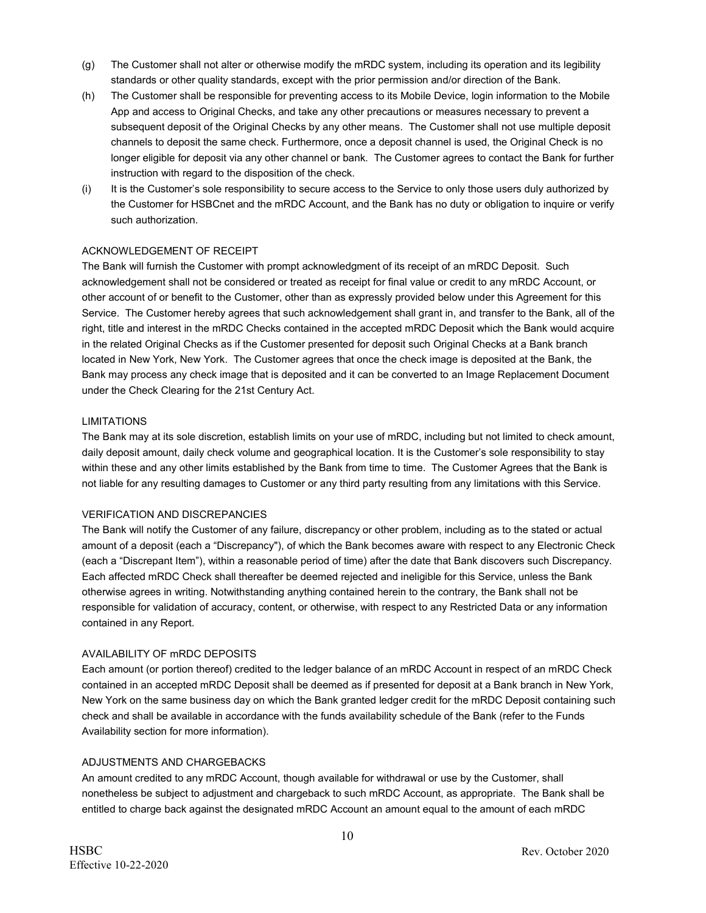- (g) The Customer shall not alter or otherwise modify the mRDC system, including its operation and its legibility standards or other quality standards, except with the prior permission and/or direction of the Bank.
- (h) The Customer shall be responsible for preventing access to its Mobile Device, login information to the Mobile App and access to Original Checks, and take any other precautions or measures necessary to prevent a subsequent deposit of the Original Checks by any other means. The Customer shall not use multiple deposit channels to deposit the same check. Furthermore, once a deposit channel is used, the Original Check is no longer eligible for deposit via any other channel or bank. The Customer agrees to contact the Bank for further instruction with regard to the disposition of the check.
- (i) It is the Customer's sole responsibility to secure access to the Service to only those users duly authorized by the Customer for HSBCnet and the mRDC Account, and the Bank has no duty or obligation to inquire or verify such authorization.

#### ACKNOWLEDGEMENT OF RECEIPT

The Bank will furnish the Customer with prompt acknowledgment of its receipt of an mRDC Deposit. Such acknowledgement shall not be considered or treated as receipt for final value or credit to any mRDC Account, or other account of or benefit to the Customer, other than as expressly provided below under this Agreement for this Service. The Customer hereby agrees that such acknowledgement shall grant in, and transfer to the Bank, all of the right, title and interest in the mRDC Checks contained in the accepted mRDC Deposit which the Bank would acquire in the related Original Checks as if the Customer presented for deposit such Original Checks at a Bank branch located in New York, New York. The Customer agrees that once the check image is deposited at the Bank, the Bank may process any check image that is deposited and it can be converted to an Image Replacement Document under the Check Clearing for the 21st Century Act.

#### LIMITATIONS

The Bank may at its sole discretion, establish limits on your use of mRDC, including but not limited to check amount, daily deposit amount, daily check volume and geographical location. It is the Customer's sole responsibility to stay within these and any other limits established by the Bank from time to time. The Customer Agrees that the Bank is not liable for any resulting damages to Customer or any third party resulting from any limitations with this Service.

#### VERIFICATION AND DISCREPANCIES

The Bank will notify the Customer of any failure, discrepancy or other problem, including as to the stated or actual amount of a deposit (each a "Discrepancy"), of which the Bank becomes aware with respect to any Electronic Check (each a "Discrepant Item"), within a reasonable period of time) after the date that Bank discovers such Discrepancy. Each affected mRDC Check shall thereafter be deemed rejected and ineligible for this Service, unless the Bank otherwise agrees in writing. Notwithstanding anything contained herein to the contrary, the Bank shall not be responsible for validation of accuracy, content, or otherwise, with respect to any Restricted Data or any information contained in any Report.

#### AVAILABILITY OF mRDC DEPOSITS

Each amount (or portion thereof) credited to the ledger balance of an mRDC Account in respect of an mRDC Check contained in an accepted mRDC Deposit shall be deemed as if presented for deposit at a Bank branch in New York, New York on the same business day on which the Bank granted ledger credit for the mRDC Deposit containing such check and shall be available in accordance with the funds availability schedule of the Bank (refer to the Funds Availability section for more information).

#### ADJUSTMENTS AND CHARGEBACKS

An amount credited to any mRDC Account, though available for withdrawal or use by the Customer, shall nonetheless be subject to adjustment and chargeback to such mRDC Account, as appropriate. The Bank shall be entitled to charge back against the designated mRDC Account an amount equal to the amount of each mRDC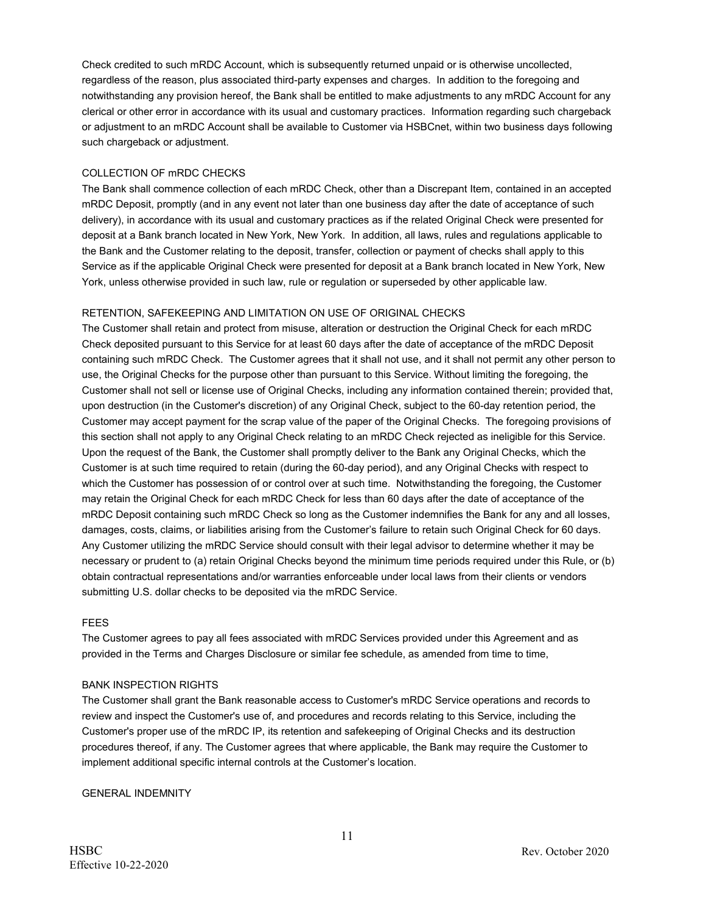Check credited to such mRDC Account, which is subsequently returned unpaid or is otherwise uncollected, regardless of the reason, plus associated third-party expenses and charges. In addition to the foregoing and notwithstanding any provision hereof, the Bank shall be entitled to make adjustments to any mRDC Account for any clerical or other error in accordance with its usual and customary practices. Information regarding such chargeback or adjustment to an mRDC Account shall be available to Customer via HSBCnet, within two business days following such chargeback or adjustment.

#### COLLECTION OF mRDC CHECKS

The Bank shall commence collection of each mRDC Check, other than a Discrepant Item, contained in an accepted mRDC Deposit, promptly (and in any event not later than one business day after the date of acceptance of such delivery), in accordance with its usual and customary practices as if the related Original Check were presented for deposit at a Bank branch located in New York, New York. In addition, all laws, rules and regulations applicable to the Bank and the Customer relating to the deposit, transfer, collection or payment of checks shall apply to this Service as if the applicable Original Check were presented for deposit at a Bank branch located in New York, New York, unless otherwise provided in such law, rule or regulation or superseded by other applicable law.

#### RETENTION, SAFEKEEPING AND LIMITATION ON USE OF ORIGINAL CHECKS

The Customer shall retain and protect from misuse, alteration or destruction the Original Check for each mRDC Check deposited pursuant to this Service for at least 60 days after the date of acceptance of the mRDC Deposit containing such mRDC Check. The Customer agrees that it shall not use, and it shall not permit any other person to use, the Original Checks for the purpose other than pursuant to this Service. Without limiting the foregoing, the Customer shall not sell or license use of Original Checks, including any information contained therein; provided that, upon destruction (in the Customer's discretion) of any Original Check, subject to the 60-day retention period, the Customer may accept payment for the scrap value of the paper of the Original Checks. The foregoing provisions of this section shall not apply to any Original Check relating to an mRDC Check rejected as ineligible for this Service. Upon the request of the Bank, the Customer shall promptly deliver to the Bank any Original Checks, which the Customer is at such time required to retain (during the 60-day period), and any Original Checks with respect to which the Customer has possession of or control over at such time. Notwithstanding the foregoing, the Customer may retain the Original Check for each mRDC Check for less than 60 days after the date of acceptance of the mRDC Deposit containing such mRDC Check so long as the Customer indemnifies the Bank for any and all losses, damages, costs, claims, or liabilities arising from the Customer's failure to retain such Original Check for 60 days. Any Customer utilizing the mRDC Service should consult with their legal advisor to determine whether it may be necessary or prudent to (a) retain Original Checks beyond the minimum time periods required under this Rule, or (b) obtain contractual representations and/or warranties enforceable under local laws from their clients or vendors submitting U.S. dollar checks to be deposited via the mRDC Service.

#### FEES

The Customer agrees to pay all fees associated with mRDC Services provided under this Agreement and as provided in the Terms and Charges Disclosure or similar fee schedule, as amended from time to time,

#### BANK INSPECTION RIGHTS

The Customer shall grant the Bank reasonable access to Customer's mRDC Service operations and records to review and inspect the Customer's use of, and procedures and records relating to this Service, including the Customer's proper use of the mRDC IP, its retention and safekeeping of Original Checks and its destruction procedures thereof, if any. The Customer agrees that where applicable, the Bank may require the Customer to implement additional specific internal controls at the Customer's location.

GENERAL INDEMNITY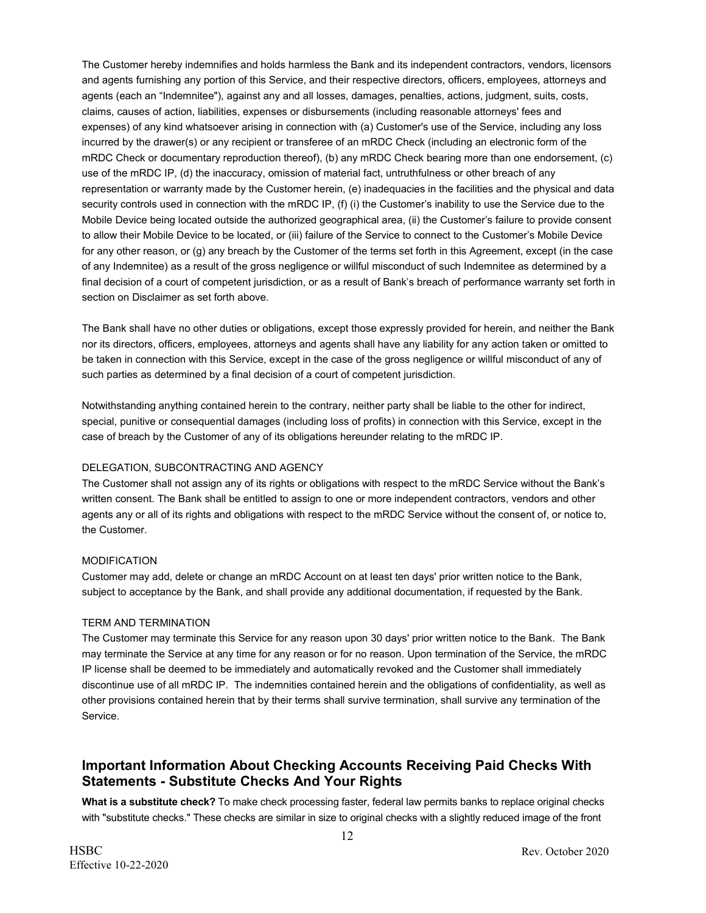The Customer hereby indemnifies and holds harmless the Bank and its independent contractors, vendors, licensors and agents furnishing any portion of this Service, and their respective directors, officers, employees, attorneys and agents (each an "Indemnitee"), against any and all losses, damages, penalties, actions, judgment, suits, costs, claims, causes of action, liabilities, expenses or disbursements (including reasonable attorneys' fees and expenses) of any kind whatsoever arising in connection with (a) Customer's use of the Service, including any loss incurred by the drawer(s) or any recipient or transferee of an mRDC Check (including an electronic form of the mRDC Check or documentary reproduction thereof), (b) any mRDC Check bearing more than one endorsement, (c) use of the mRDC IP, (d) the inaccuracy, omission of material fact, untruthfulness or other breach of any representation or warranty made by the Customer herein, (e) inadequacies in the facilities and the physical and data security controls used in connection with the mRDC IP, (f) (i) the Customer's inability to use the Service due to the Mobile Device being located outside the authorized geographical area, (ii) the Customer's failure to provide consent to allow their Mobile Device to be located, or (iii) failure of the Service to connect to the Customer's Mobile Device for any other reason, or (g) any breach by the Customer of the terms set forth in this Agreement, except (in the case of any Indemnitee) as a result of the gross negligence or willful misconduct of such Indemnitee as determined by a final decision of a court of competent jurisdiction, or as a result of Bank's breach of performance warranty set forth in section on Disclaimer as set forth above.

The Bank shall have no other duties or obligations, except those expressly provided for herein, and neither the Bank nor its directors, officers, employees, attorneys and agents shall have any liability for any action taken or omitted to be taken in connection with this Service, except in the case of the gross negligence or willful misconduct of any of such parties as determined by a final decision of a court of competent jurisdiction.

Notwithstanding anything contained herein to the contrary, neither party shall be liable to the other for indirect, special, punitive or consequential damages (including loss of profits) in connection with this Service, except in the case of breach by the Customer of any of its obligations hereunder relating to the mRDC IP.

#### DELEGATION, SUBCONTRACTING AND AGENCY

The Customer shall not assign any of its rights or obligations with respect to the mRDC Service without the Bank's written consent. The Bank shall be entitled to assign to one or more independent contractors, vendors and other agents any or all of its rights and obligations with respect to the mRDC Service without the consent of, or notice to, the Customer.

#### MODIFICATION

Customer may add, delete or change an mRDC Account on at least ten days' prior written notice to the Bank, subject to acceptance by the Bank, and shall provide any additional documentation, if requested by the Bank.

#### TERM AND TERMINATION

The Customer may terminate this Service for any reason upon 30 days' prior written notice to the Bank. The Bank may terminate the Service at any time for any reason or for no reason. Upon termination of the Service, the mRDC IP license shall be deemed to be immediately and automatically revoked and the Customer shall immediately discontinue use of all mRDC IP. The indemnities contained herein and the obligations of confidentiality, as well as other provisions contained herein that by their terms shall survive termination, shall survive any termination of the Service.

# **Important Information About Checking Accounts Receiving Paid Checks With Statements - Substitute Checks And Your Rights**

**What is a substitute check?** To make check processing faster, federal law permits banks to replace original checks with "substitute checks." These checks are similar in size to original checks with a slightly reduced image of the front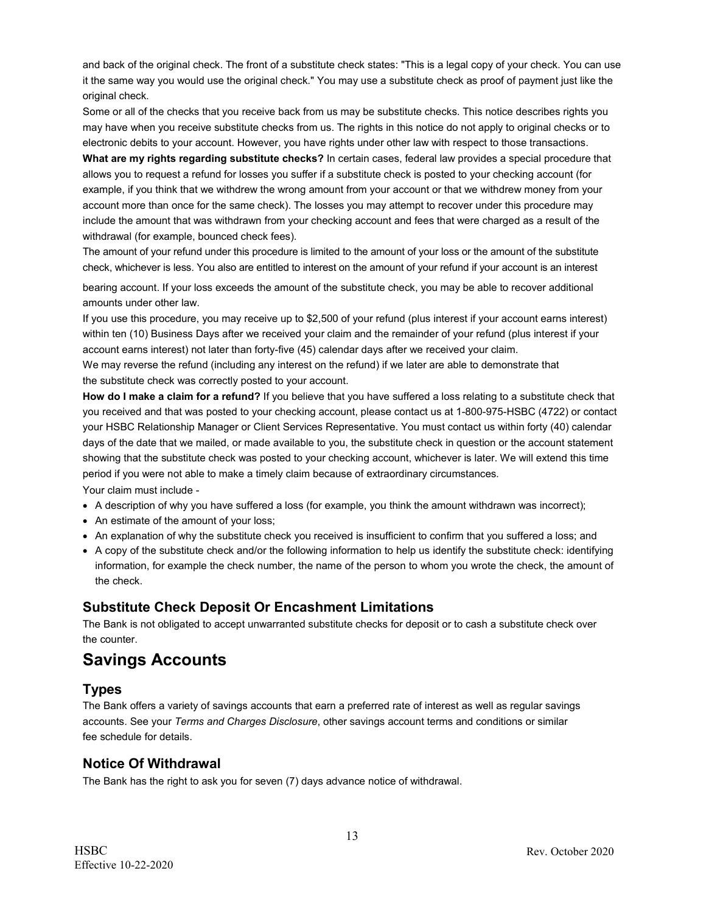and back of the original check. The front of a substitute check states: "This is a legal copy of your check. You can use it the same way you would use the original check." You may use a substitute check as proof of payment just like the original check.

Some or all of the checks that you receive back from us may be substitute checks. This notice describes rights you may have when you receive substitute checks from us. The rights in this notice do not apply to original checks or to electronic debits to your account. However, you have rights under other law with respect to those transactions.

**What are my rights regarding substitute checks?** In certain cases, federal law provides a special procedure that allows you to request a refund for losses you suffer if a substitute check is posted to your checking account (for example, if you think that we withdrew the wrong amount from your account or that we withdrew money from your account more than once for the same check). The losses you may attempt to recover under this procedure may include the amount that was withdrawn from your checking account and fees that were charged as a result of the withdrawal (for example, bounced check fees).

The amount of your refund under this procedure is limited to the amount of your loss or the amount of the substitute check, whichever is less. You also are entitled to interest on the amount of your refund if your account is an interest

bearing account. If your loss exceeds the amount of the substitute check, you may be able to recover additional amounts under other law.

If you use this procedure, you may receive up to \$2,500 of your refund (plus interest if your account earns interest) within ten (10) Business Days after we received your claim and the remainder of your refund (plus interest if your account earns interest) not later than forty-five (45) calendar days after we received your claim.

We may reverse the refund (including any interest on the refund) if we later are able to demonstrate that the substitute check was correctly posted to your account.

**How do I make a claim for a refund?** If you believe that you have suffered a loss relating to a substitute check that you received and that was posted to your checking account, please contact us at 1-800-975-HSBC (4722) or contact your HSBC Relationship Manager or Client Services Representative. You must contact us within forty (40) calendar days of the date that we mailed, or made available to you, the substitute check in question or the account statement showing that the substitute check was posted to your checking account, whichever is later. We will extend this time period if you were not able to make a timely claim because of extraordinary circumstances.

Your claim must include -

- A description of why you have suffered a loss (for example, you think the amount withdrawn was incorrect);
- An estimate of the amount of your loss;
- An explanation of why the substitute check you received is insufficient to confirm that you suffered a loss; and
- A copy of the substitute check and/or the following information to help us identify the substitute check: identifying information, for example the check number, the name of the person to whom you wrote the check, the amount of the check.

### **Substitute Check Deposit Or Encashment Limitations**

The Bank is not obligated to accept unwarranted substitute checks for deposit or to cash a substitute check over the counter.

# **Savings Accounts**

### **Types**

The Bank offers a variety of savings accounts that earn a preferred rate of interest as well as regular savings accounts. See your *Terms and Charges Disclosure*, other savings account terms and conditions or similar fee schedule for details.

### **Notice Of Withdrawal**

The Bank has the right to ask you for seven (7) days advance notice of withdrawal.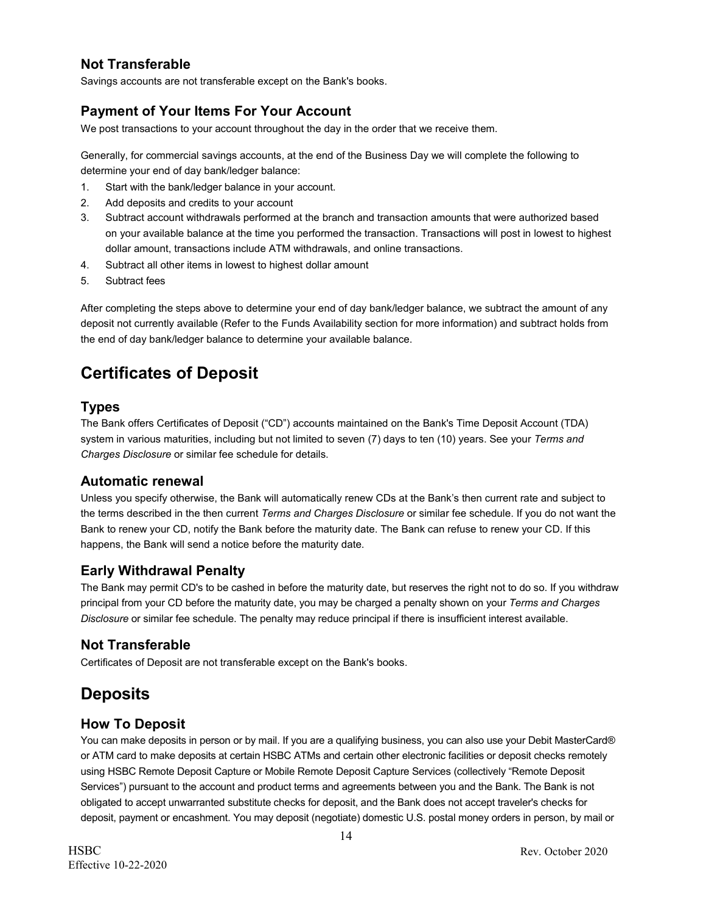# **Not Transferable**

Savings accounts are not transferable except on the Bank's books.

# **Payment of Your Items For Your Account**

We post transactions to your account throughout the day in the order that we receive them.

Generally, for commercial savings accounts, at the end of the Business Day we will complete the following to determine your end of day bank/ledger balance:

- 1. Start with the bank/ledger balance in your account.
- 2. Add deposits and credits to your account
- 3. Subtract account withdrawals performed at the branch and transaction amounts that were authorized based on your available balance at the time you performed the transaction. Transactions will post in lowest to highest dollar amount, transactions include ATM withdrawals, and online transactions.
- 4. Subtract all other items in lowest to highest dollar amount
- 5. Subtract fees

After completing the steps above to determine your end of day bank/ledger balance, we subtract the amount of any deposit not currently available (Refer to the Funds Availability section for more information) and subtract holds from the end of day bank/ledger balance to determine your available balance.

# **Certificates of Deposit**

### **Types**

The Bank offers Certificates of Deposit ("CD") accounts maintained on the Bank's Time Deposit Account (TDA) system in various maturities, including but not limited to seven (7) days to ten (10) years. See your *Terms and Charges Disclosure* or similar fee schedule for details.

### **Automatic renewal**

Unless you specify otherwise, the Bank will automatically renew CDs at the Bank's then current rate and subject to the terms described in the then current *Terms and Charges Disclosure* or similar fee schedule. If you do not want the Bank to renew your CD, notify the Bank before the maturity date. The Bank can refuse to renew your CD. If this happens, the Bank will send a notice before the maturity date.

### **Early Withdrawal Penalty**

The Bank may permit CD's to be cashed in before the maturity date, but reserves the right not to do so. If you withdraw principal from your CD before the maturity date, you may be charged a penalty shown on your *Terms and Charges Disclosure* or similar fee schedule. The penalty may reduce principal if there is insufficient interest available.

### **Not Transferable**

Certificates of Deposit are not transferable except on the Bank's books.

# **Deposits**

### **How To Deposit**

You can make deposits in person or by mail. If you are a qualifying business, you can also use your Debit MasterCard® or ATM card to make deposits at certain HSBC ATMs and certain other electronic facilities or deposit checks remotely using HSBC Remote Deposit Capture or Mobile Remote Deposit Capture Services (collectively "Remote Deposit Services") pursuant to the account and product terms and agreements between you and the Bank. The Bank is not obligated to accept unwarranted substitute checks for deposit, and the Bank does not accept traveler's checks for deposit, payment or encashment. You may deposit (negotiate) domestic U.S. postal money orders in person, by mail or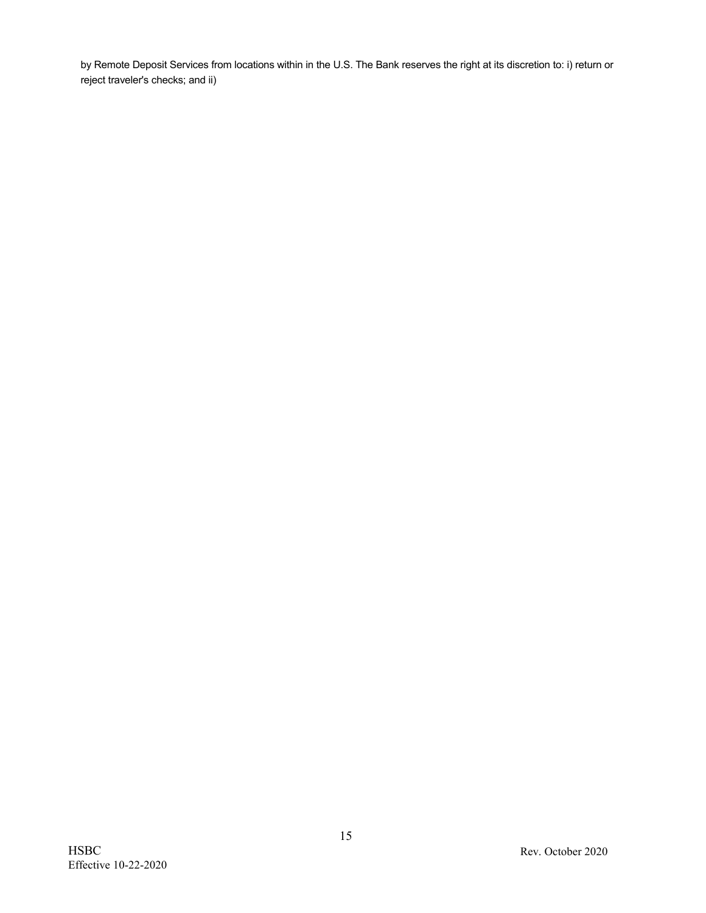by Remote Deposit Services from locations within in the U.S. The Bank reserves the right at its discretion to: i) return or reject traveler's checks; and ii)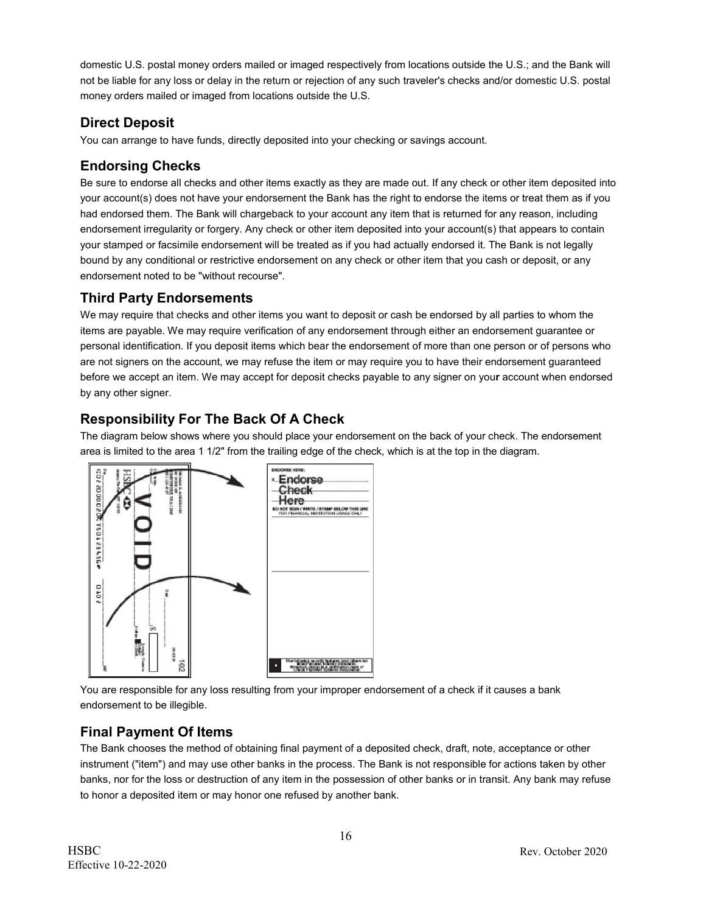domestic U.S. postal money orders mailed or imaged respectively from locations outside the U.S.; and the Bank will not be liable for any loss or delay in the return or rejection of any such traveler's checks and/or domestic U.S. postal money orders mailed or imaged from locations outside the U.S.

# **Direct Deposit**

You can arrange to have funds, directly deposited into your checking or savings account.

# **Endorsing Checks**

Be sure to endorse all checks and other items exactly as they are made out. If any check or other item deposited into your account(s) does not have your endorsement the Bank has the right to endorse the items or treat them as if you had endorsed them. The Bank will chargeback to your account any item that is returned for any reason, including endorsement irregularity or forgery. Any check or other item deposited into your account(s) that appears to contain your stamped or facsimile endorsement will be treated as if you had actually endorsed it. The Bank is not legally bound by any conditional or restrictive endorsement on any check or other item that you cash or deposit, or any endorsement noted to be "without recourse".

# **Third Party Endorsements**

We may require that checks and other items you want to deposit or cash be endorsed by all parties to whom the items are payable. We may require verification of any endorsement through either an endorsement guarantee or personal identification. If you deposit items which bear the endorsement of more than one person or of persons who are not signers on the account, we may refuse the item or may require you to have their endorsement guaranteed before we accept an item. We may accept for deposit checks payable to any signer on you**r** account when endorsed by any other signer.

# **Responsibility For The Back Of A Check**

The diagram below shows where you should place your endorsement on the back of your check. The endorsement area is limited to the area 1 1/2" from the trailing edge of the check, which is at the top in the diagram.



You are responsible for any loss resulting from your improper endorsement of a check if it causes a bank endorsement to be illegible.

# **Final Payment Of Items**

The Bank chooses the method of obtaining final payment of a deposited check, draft, note, acceptance or other instrument ("item") and may use other banks in the process. The Bank is not responsible for actions taken by other banks, nor for the loss or destruction of any item in the possession of other banks or in transit. Any bank may refuse to honor a deposited item or may honor one refused by another bank.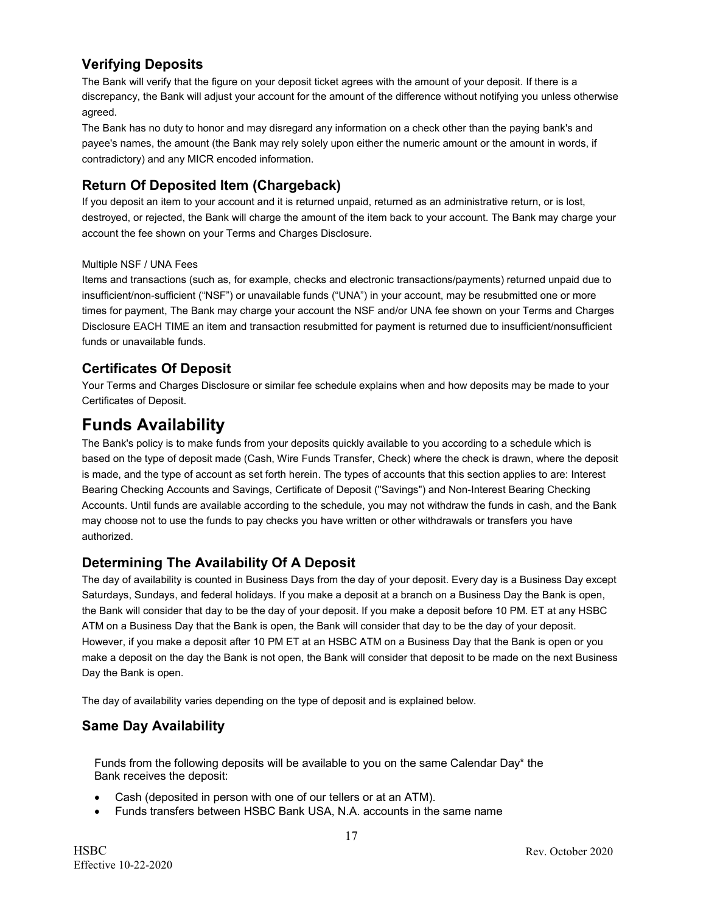# **Verifying Deposits**

The Bank will verify that the figure on your deposit ticket agrees with the amount of your deposit. If there is a discrepancy, the Bank will adjust your account for the amount of the difference without notifying you unless otherwise agreed.

The Bank has no duty to honor and may disregard any information on a check other than the paying bank's and payee's names, the amount (the Bank may rely solely upon either the numeric amount or the amount in words, if contradictory) and any MICR encoded information.

# **Return Of Deposited Item (Chargeback)**

If you deposit an item to your account and it is returned unpaid, returned as an administrative return, or is lost, destroyed, or rejected, the Bank will charge the amount of the item back to your account. The Bank may charge your account the fee shown on your Terms and Charges Disclosure.

#### Multiple NSF / UNA Fees

Items and transactions (such as, for example, checks and electronic transactions/payments) returned unpaid due to insufficient/non-sufficient ("NSF") or unavailable funds ("UNA") in your account, may be resubmitted one or more times for payment, The Bank may charge your account the NSF and/or UNA fee shown on your Terms and Charges Disclosure EACH TIME an item and transaction resubmitted for payment is returned due to insufficient/nonsufficient funds or unavailable funds.

# **Certificates Of Deposit**

Your Terms and Charges Disclosure or similar fee schedule explains when and how deposits may be made to your Certificates of Deposit.

# **Funds Availability**

The Bank's policy is to make funds from your deposits quickly available to you according to a schedule which is based on the type of deposit made (Cash, Wire Funds Transfer, Check) where the check is drawn, where the deposit is made, and the type of account as set forth herein. The types of accounts that this section applies to are: Interest Bearing Checking Accounts and Savings, Certificate of Deposit ("Savings") and Non-Interest Bearing Checking Accounts. Until funds are available according to the schedule, you may not withdraw the funds in cash, and the Bank may choose not to use the funds to pay checks you have written or other withdrawals or transfers you have authorized.

# **Determining The Availability Of A Deposit**

The day of availability is counted in Business Days from the day of your deposit. Every day is a Business Day except Saturdays, Sundays, and federal holidays. If you make a deposit at a branch on a Business Day the Bank is open, the Bank will consider that day to be the day of your deposit. If you make a deposit before 10 PM. ET at any HSBC ATM on a Business Day that the Bank is open, the Bank will consider that day to be the day of your deposit. However, if you make a deposit after 10 PM ET at an HSBC ATM on a Business Day that the Bank is open or you make a deposit on the day the Bank is not open, the Bank will consider that deposit to be made on the next Business Day the Bank is open.

The day of availability varies depending on the type of deposit and is explained below.

# **Same Day Availability**

Funds from the following deposits will be available to you on the same Calendar Day\* the Bank receives the deposit:

- Cash (deposited in person with one of our tellers or at an ATM).
- Funds transfers between HSBC Bank USA, N.A. accounts in the same name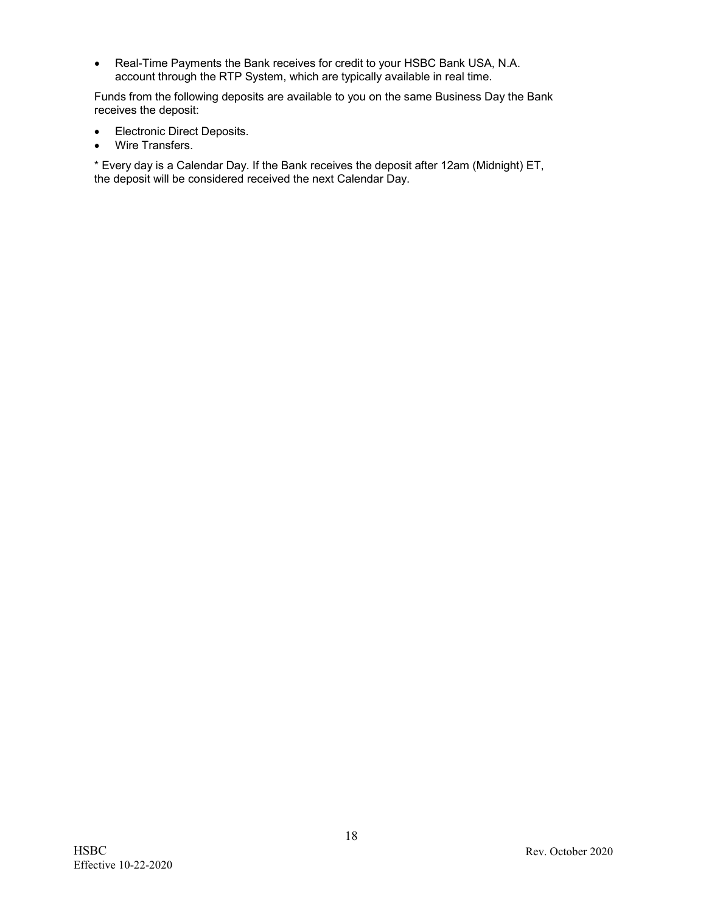• Real-Time Payments the Bank receives for credit to your HSBC Bank USA, N.A. account through the RTP System, which are typically available in real time.

Funds from the following deposits are available to you on the same Business Day the Bank receives the deposit:

- Electronic Direct Deposits.
- Wire Transfers.

\* Every day is a Calendar Day. If the Bank receives the deposit after 12am (Midnight) ET, the deposit will be considered received the next Calendar Day.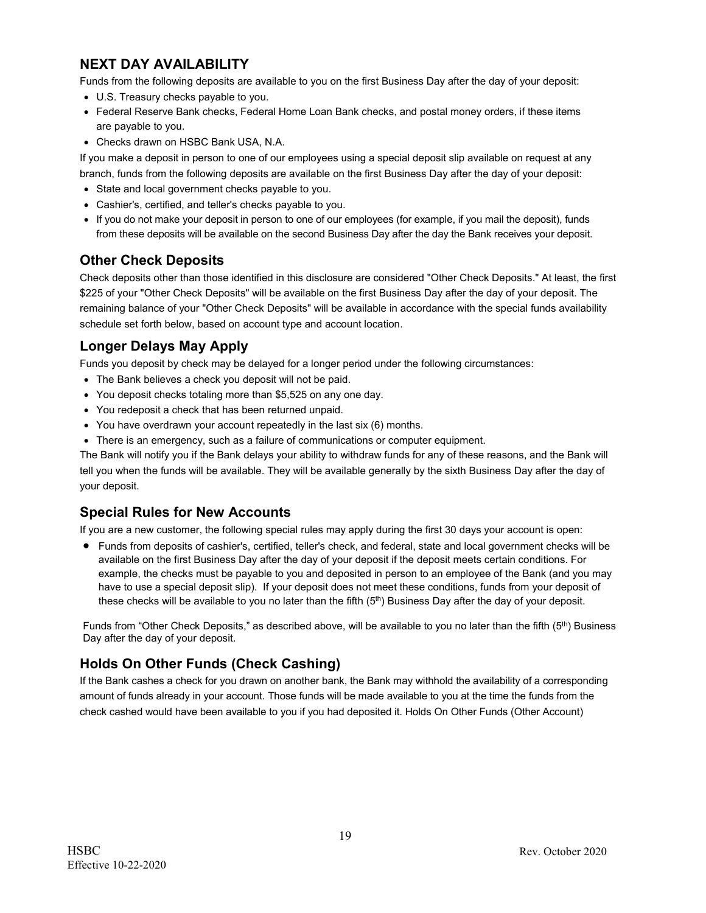# **NEXT DAY AVAILABILITY**

Funds from the following deposits are available to you on the first Business Day after the day of your deposit:

- U.S. Treasury checks payable to you.
- Federal Reserve Bank checks, Federal Home Loan Bank checks, and postal money orders, if these items are payable to you.
- Checks drawn on HSBC Bank USA, N.A.

If you make a deposit in person to one of our employees using a special deposit slip available on request at any branch, funds from the following deposits are available on the first Business Day after the day of your deposit:

- State and local government checks payable to you.
- Cashier's, certified, and teller's checks payable to you.
- If you do not make your deposit in person to one of our employees (for example, if you mail the deposit), funds from these deposits will be available on the second Business Day after the day the Bank receives your deposit.

### **Other Check Deposits**

Check deposits other than those identified in this disclosure are considered "Other Check Deposits." At least, the first \$225 of your "Other Check Deposits" will be available on the first Business Day after the day of your deposit. The remaining balance of your "Other Check Deposits" will be available in accordance with the special funds availability schedule set forth below, based on account type and account location.

# **Longer Delays May Apply**

Funds you deposit by check may be delayed for a longer period under the following circumstances:

- The Bank believes a check you deposit will not be paid.
- You deposit checks totaling more than \$5,525 on any one day.
- You redeposit a check that has been returned unpaid.
- You have overdrawn your account repeatedly in the last six (6) months.
- There is an emergency, such as a failure of communications or computer equipment.

The Bank will notify you if the Bank delays your ability to withdraw funds for any of these reasons, and the Bank will tell you when the funds will be available. They will be available generally by the sixth Business Day after the day of your deposit.

### **Special Rules for New Accounts**

If you are a new customer, the following special rules may apply during the first 30 days your account is open:

• Funds from deposits of cashier's, certified, teller's check, and federal, state and local government checks will be available on the first Business Day after the day of your deposit if the deposit meets certain conditions. For example, the checks must be payable to you and deposited in person to an employee of the Bank (and you may have to use a special deposit slip). If your deposit does not meet these conditions, funds from your deposit of these checks will be available to you no later than the fifth (5<sup>th</sup>) Business Day after the day of your deposit.

Funds from "Other Check Deposits," as described above, will be available to you no later than the fifth (5<sup>th</sup>) Business Day after the day of your deposit.

# **Holds On Other Funds (Check Cashing)**

If the Bank cashes a check for you drawn on another bank, the Bank may withhold the availability of a corresponding amount of funds already in your account. Those funds will be made available to you at the time the funds from the check cashed would have been available to you if you had deposited it. Holds On Other Funds (Other Account)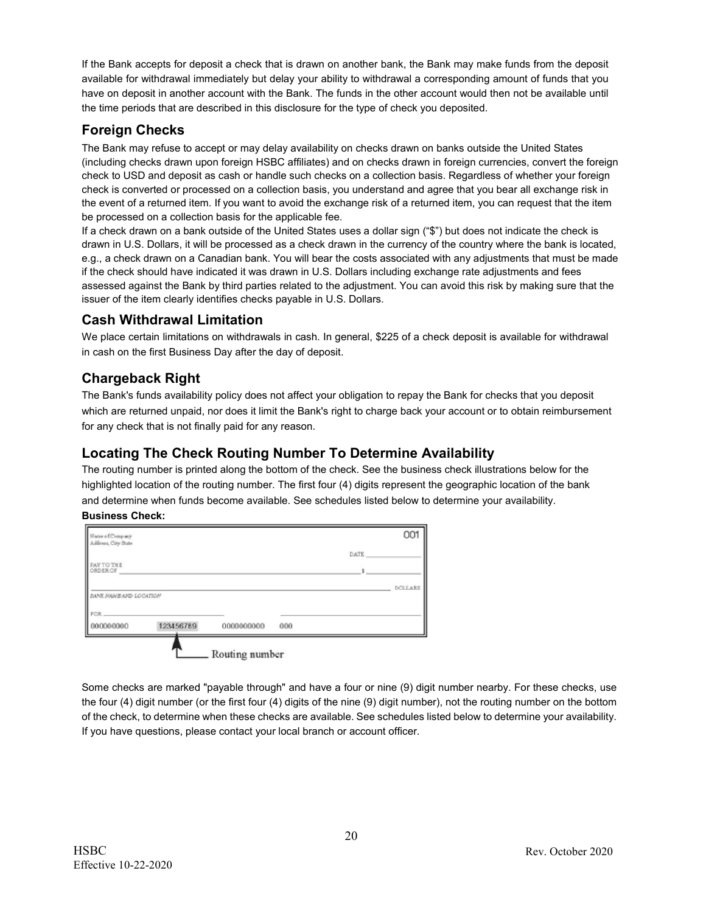If the Bank accepts for deposit a check that is drawn on another bank, the Bank may make funds from the deposit available for withdrawal immediately but delay your ability to withdrawal a corresponding amount of funds that you have on deposit in another account with the Bank. The funds in the other account would then not be available until the time periods that are described in this disclosure for the type of check you deposited.

# **Foreign Checks**

The Bank may refuse to accept or may delay availability on checks drawn on banks outside the United States (including checks drawn upon foreign HSBC affiliates) and on checks drawn in foreign currencies, convert the foreign check to USD and deposit as cash or handle such checks on a collection basis. Regardless of whether your foreign check is converted or processed on a collection basis, you understand and agree that you bear all exchange risk in the event of a returned item. If you want to avoid the exchange risk of a returned item, you can request that the item be processed on a collection basis for the applicable fee.

If a check drawn on a bank outside of the United States uses a dollar sign ("\$") but does not indicate the check is drawn in U.S. Dollars, it will be processed as a check drawn in the currency of the country where the bank is located, e.g., a check drawn on a Canadian bank. You will bear the costs associated with any adjustments that must be made if the check should have indicated it was drawn in U.S. Dollars including exchange rate adjustments and fees assessed against the Bank by third parties related to the adjustment. You can avoid this risk by making sure that the issuer of the item clearly identifies checks payable in U.S. Dollars.

### **Cash Withdrawal Limitation**

We place certain limitations on withdrawals in cash. In general, \$225 of a check deposit is available for withdrawal in cash on the first Business Day after the day of deposit.

# **Chargeback Right**

The Bank's funds availability policy does not affect your obligation to repay the Bank for checks that you deposit which are returned unpaid, nor does it limit the Bank's right to charge back your account or to obtain reimbursement for any check that is not finally paid for any reason.

### **Locating The Check Routing Number To Determine Availability**

The routing number is printed along the bottom of the check. See the business check illustrations below for the highlighted location of the routing number. The first four (4) digits represent the geographic location of the bank and determine when funds become available. See schedules listed below to determine your availability. **Business Check:**

| 000000000                              | 123456789 | 0000000000 | 000 |      |         |
|----------------------------------------|-----------|------------|-----|------|---------|
| FOR.                                   |           |            |     |      |         |
| <b>EANX NAME AND LOCATION</b>          |           |            |     |      | DOLLARS |
| <b>PAY TO THE</b><br>ORDER OF          |           |            |     | š    |         |
|                                        |           |            |     | DATE |         |
| Name of Company<br>Address, City State |           |            |     |      | 001     |

Some checks are marked "payable through" and have a four or nine (9) digit number nearby. For these checks, use the four (4) digit number (or the first four (4) digits of the nine (9) digit number), not the routing number on the bottom of the check, to determine when these checks are available. See schedules listed below to determine your availability. If you have questions, please contact your local branch or account officer.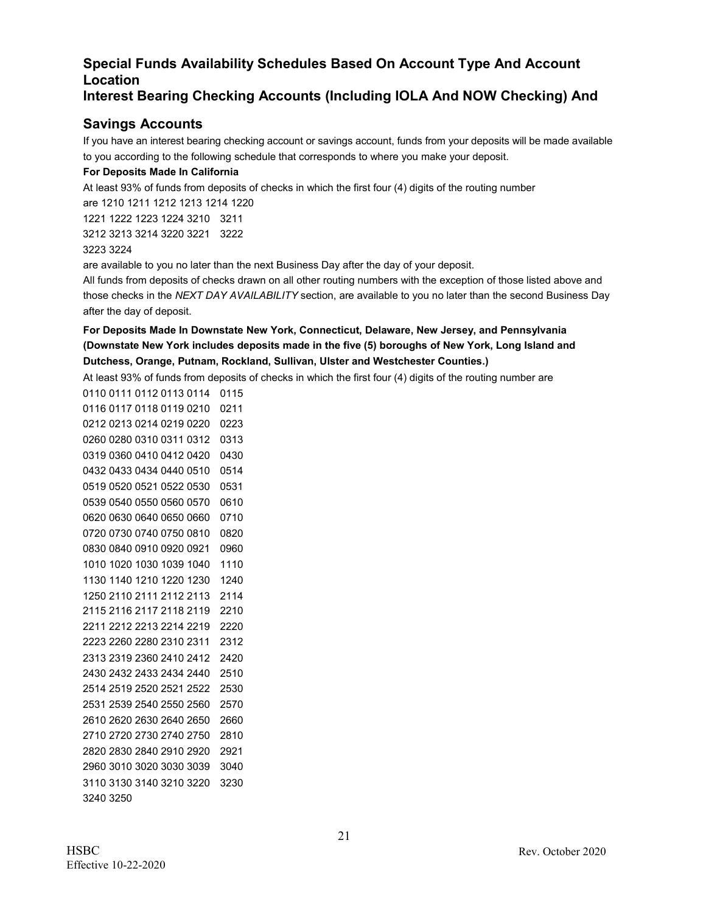# **Special Funds Availability Schedules Based On Account Type And Account Location**

### **Interest Bearing Checking Accounts (Including IOLA And NOW Checking) And**

# **Savings Accounts**

If you have an interest bearing checking account or savings account, funds from your deposits will be made available to you according to the following schedule that corresponds to where you make your deposit.

#### **For Deposits Made In California**

At least 93% of funds from deposits of checks in which the first four (4) digits of the routing number are 1210 1211 1212 1213 1214 1220

 1222 1223 1224 3210 3211 3213 3214 3220 3221 3222

#### 3224

are available to you no later than the next Business Day after the day of your deposit.

All funds from deposits of checks drawn on all other routing numbers with the exception of those listed above and those checks in the *NEXT DAY AVAILABILITY* section, are available to you no later than the second Business Day after the day of deposit.

### **For Deposits Made In Downstate New York, Connecticut, Delaware, New Jersey, and Pennsylvania (Downstate New York includes deposits made in the five (5) boroughs of New York, Long Island and Dutchess, Orange, Putnam, Rockland, Sullivan, Ulster and Westchester Counties.)**

At least 93% of funds from deposits of checks in which the first four (4) digits of the routing number are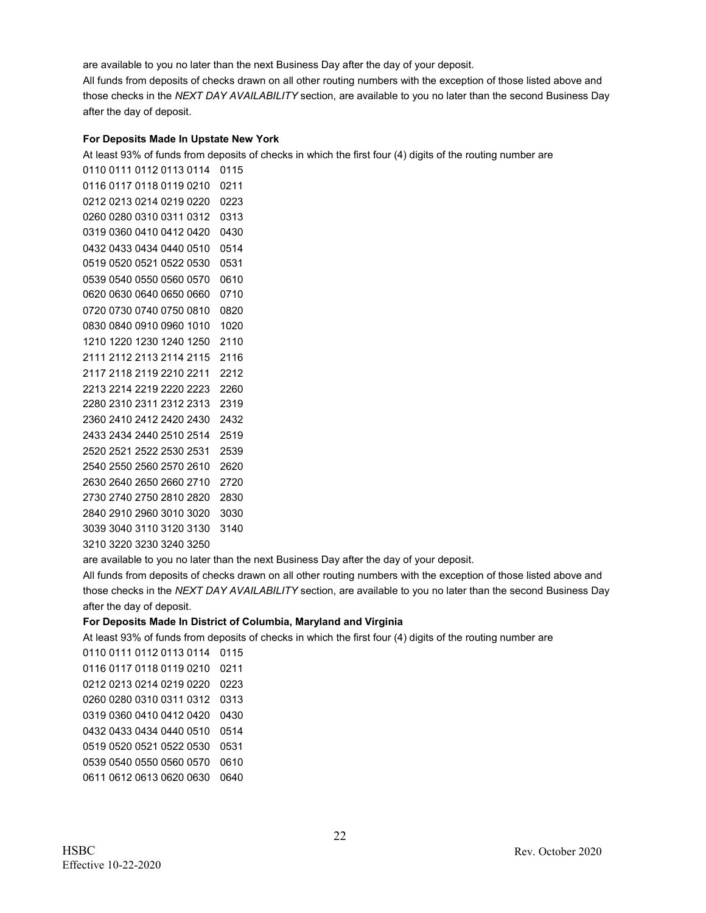are available to you no later than the next Business Day after the day of your deposit.

All funds from deposits of checks drawn on all other routing numbers with the exception of those listed above and those checks in the *NEXT DAY AVAILABILITY* section, are available to you no later than the second Business Day after the day of deposit.

#### **For Deposits Made In Upstate New York**

At least 93% of funds from deposits of checks in which the first four (4) digits of the routing number are

are available to you no later than the next Business Day after the day of your deposit.

All funds from deposits of checks drawn on all other routing numbers with the exception of those listed above and those checks in the *NEXT DAY AVAILABILITY* section, are available to you no later than the second Business Day after the day of deposit.

#### **For Deposits Made In District of Columbia, Maryland and Virginia**

At least 93% of funds from deposits of checks in which the first four (4) digits of the routing number are

 0111 0112 0113 0114 0115 0117 0118 0119 0210 0211 0213 0214 0219 0220 0223 0280 0310 0311 0312 0313 0360 0410 0412 0420 0430 0433 0434 0440 0510 0514 0520 0521 0522 0530 0531 0540 0550 0560 0570 0610 0612 0613 0620 0630 0640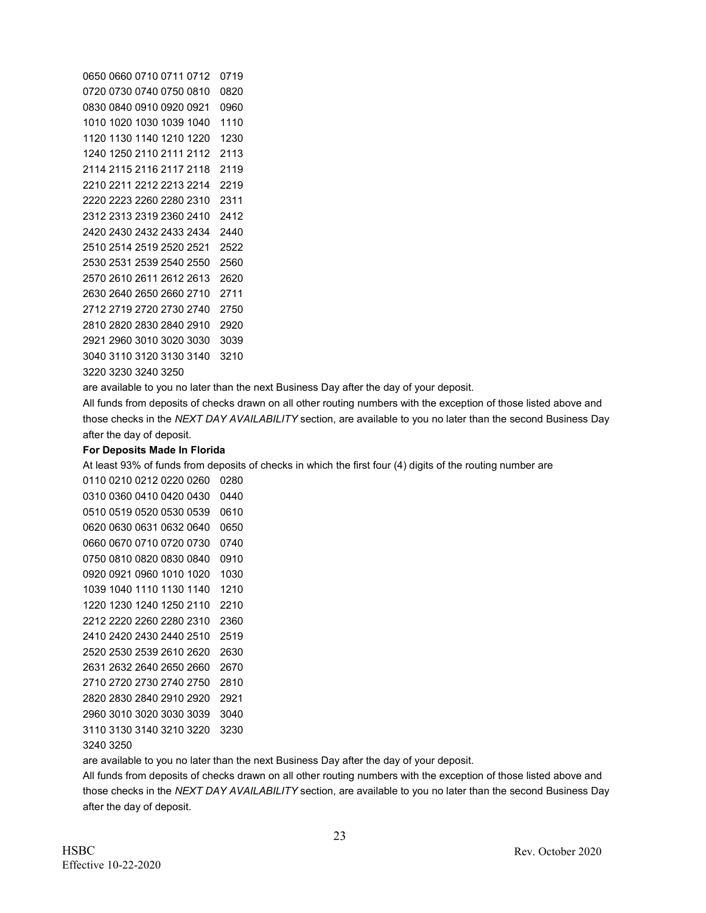are available to you no later than the next Business Day after the day of your deposit.

All funds from deposits of checks drawn on all other routing numbers with the exception of those listed above and those checks in the *NEXT DAY AVAILABILITY* section, are available to you no later than the second Business Day after the day of deposit.

#### **For Deposits Made In Florida**

At least 93% of funds from deposits of checks in which the first four (4) digits of the routing number are

are available to you no later than the next Business Day after the day of your deposit.

All funds from deposits of checks drawn on all other routing numbers with the exception of those listed above and those checks in the *NEXT DAY AVAILABILITY* section, are available to you no later than the second Business Day after the day of deposit.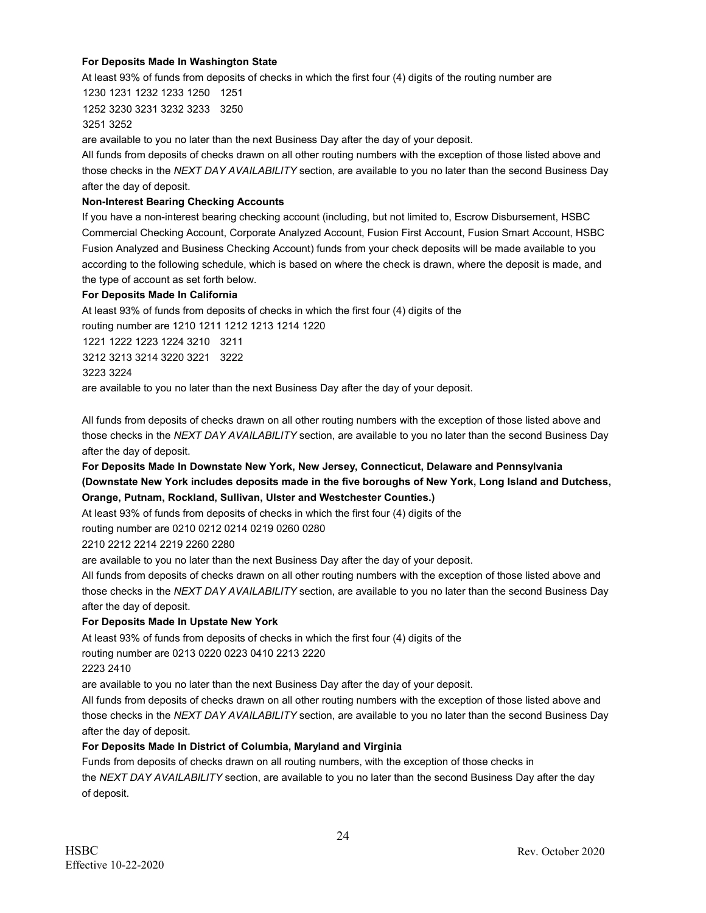#### **For Deposits Made In Washington State**

At least 93% of funds from deposits of checks in which the first four (4) digits of the routing number are

1230 1231 1232 1233 1250 1251 1252 3230 3231 3232 3233 3250 3251 3252

are available to you no later than the next Business Day after the day of your deposit.

All funds from deposits of checks drawn on all other routing numbers with the exception of those listed above and those checks in the *NEXT DAY AVAILABILITY* section, are available to you no later than the second Business Day after the day of deposit.

#### **Non-Interest Bearing Checking Accounts**

If you have a non-interest bearing checking account (including, but not limited to, Escrow Disbursement, HSBC Commercial Checking Account, Corporate Analyzed Account, Fusion First Account, Fusion Smart Account, HSBC Fusion Analyzed and Business Checking Account) funds from your check deposits will be made available to you according to the following schedule, which is based on where the check is drawn, where the deposit is made, and the type of account as set forth below.

#### **For Deposits Made In California**

At least 93% of funds from deposits of checks in which the first four (4) digits of the routing number are 1210 1211 1212 1213 1214 1220

1221 1222 1223 1224 3210 3211 3212 3213 3214 3220 3221 3222

3223 3224

are available to you no later than the next Business Day after the day of your deposit.

All funds from deposits of checks drawn on all other routing numbers with the exception of those listed above and those checks in the *NEXT DAY AVAILABILITY* section, are available to you no later than the second Business Day after the day of deposit.

**For Deposits Made In Downstate New York, New Jersey, Connecticut, Delaware and Pennsylvania (Downstate New York includes deposits made in the five boroughs of New York, Long Island and Dutchess, Orange, Putnam, Rockland, Sullivan, Ulster and Westchester Counties.)**

At least 93% of funds from deposits of checks in which the first four (4) digits of the

routing number are 0210 0212 0214 0219 0260 0280

#### 2210 2212 2214 2219 2260 2280

are available to you no later than the next Business Day after the day of your deposit.

All funds from deposits of checks drawn on all other routing numbers with the exception of those listed above and those checks in the *NEXT DAY AVAILABILITY* section, are available to you no later than the second Business Day after the day of deposit.

#### **For Deposits Made In Upstate New York**

At least 93% of funds from deposits of checks in which the first four (4) digits of the

routing number are 0213 0220 0223 0410 2213 2220

2223 2410

are available to you no later than the next Business Day after the day of your deposit.

All funds from deposits of checks drawn on all other routing numbers with the exception of those listed above and those checks in the *NEXT DAY AVAILABILITY* section, are available to you no later than the second Business Day after the day of deposit.

#### **For Deposits Made In District of Columbia, Maryland and Virginia**

Funds from deposits of checks drawn on all routing numbers, with the exception of those checks in the *NEXT DAY AVAILABILITY* section, are available to you no later than the second Business Day after the day of deposit.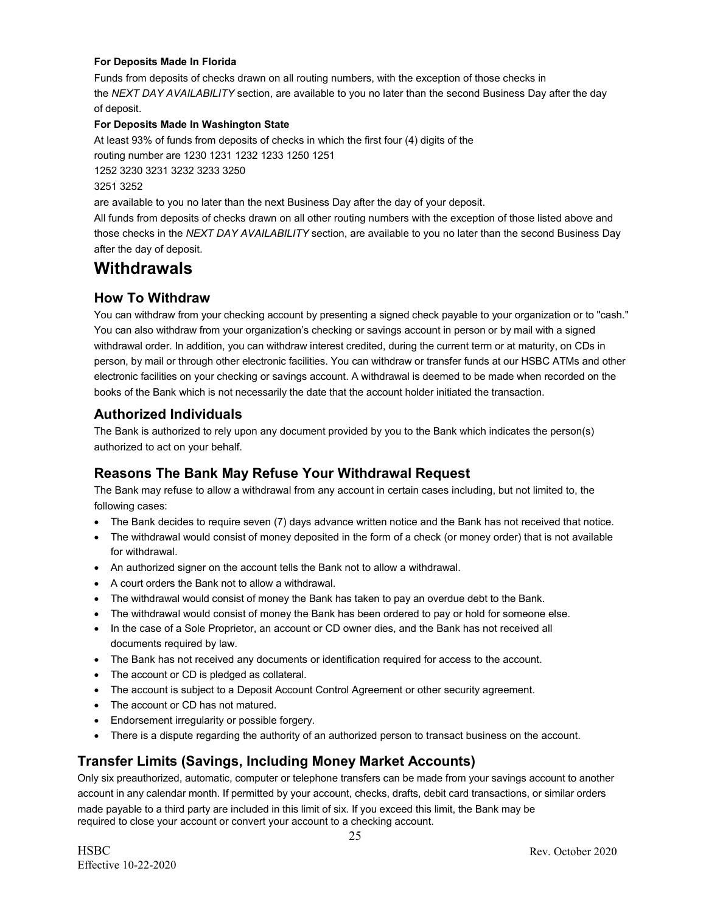#### **For Deposits Made In Florida**

Funds from deposits of checks drawn on all routing numbers, with the exception of those checks in the *NEXT DAY AVAILABILITY* section, are available to you no later than the second Business Day after the day of deposit.

#### **For Deposits Made In Washington State**

At least 93% of funds from deposits of checks in which the first four (4) digits of the

routing number are 1230 1231 1232 1233 1250 1251

1252 3230 3231 3232 3233 3250

#### 3251 3252

are available to you no later than the next Business Day after the day of your deposit.

All funds from deposits of checks drawn on all other routing numbers with the exception of those listed above and those checks in the *NEXT DAY AVAILABILITY* section, are available to you no later than the second Business Day after the day of deposit.

# **Withdrawals**

# **How To Withdraw**

You can withdraw from your checking account by presenting a signed check payable to your organization or to "cash." You can also withdraw from your organization's checking or savings account in person or by mail with a signed withdrawal order. In addition, you can withdraw interest credited, during the current term or at maturity, on CDs in person, by mail or through other electronic facilities. You can withdraw or transfer funds at our HSBC ATMs and other electronic facilities on your checking or savings account. A withdrawal is deemed to be made when recorded on the books of the Bank which is not necessarily the date that the account holder initiated the transaction.

### **Authorized Individuals**

The Bank is authorized to rely upon any document provided by you to the Bank which indicates the person(s) authorized to act on your behalf.

### **Reasons The Bank May Refuse Your Withdrawal Request**

The Bank may refuse to allow a withdrawal from any account in certain cases including, but not limited to, the following cases:

- The Bank decides to require seven (7) days advance written notice and the Bank has not received that notice.
- The withdrawal would consist of money deposited in the form of a check (or money order) that is not available for withdrawal.
- An authorized signer on the account tells the Bank not to allow a withdrawal.
- A court orders the Bank not to allow a withdrawal.
- The withdrawal would consist of money the Bank has taken to pay an overdue debt to the Bank.
- The withdrawal would consist of money the Bank has been ordered to pay or hold for someone else.
- In the case of a Sole Proprietor, an account or CD owner dies, and the Bank has not received all documents required by law.
- The Bank has not received any documents or identification required for access to the account.
- The account or CD is pledged as collateral.
- The account is subject to a Deposit Account Control Agreement or other security agreement.
- The account or CD has not matured.
- Endorsement irregularity or possible forgery.
- There is a dispute regarding the authority of an authorized person to transact business on the account.

### **Transfer Limits (Savings, Including Money Market Accounts)**

Only six preauthorized, automatic, computer or telephone transfers can be made from your savings account to another account in any calendar month. If permitted by your account, checks, drafts, debit card transactions, or similar orders made payable to a third party are included in this limit of six. If you exceed this limit, the Bank may be required to close your account or convert your account to a checking account.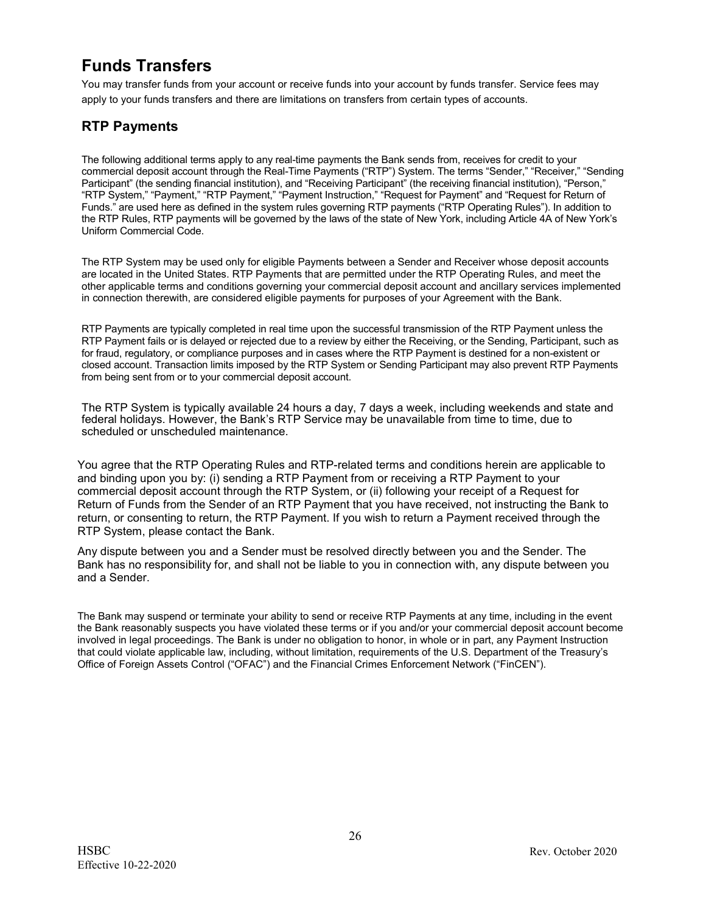# **Funds Transfers**

You may transfer funds from your account or receive funds into your account by funds transfer. Service fees may apply to your funds transfers and there are limitations on transfers from certain types of accounts.

# **RTP Payments**

The following additional terms apply to any real-time payments the Bank sends from, receives for credit to your commercial deposit account through the Real-Time Payments ("RTP") System. The terms "Sender," "Receiver," "Sending Participant" (the sending financial institution), and "Receiving Participant" (the receiving financial institution), "Person," "RTP System," "Payment," "RTP Payment," "Payment Instruction," "Request for Payment" and "Request for Return of Funds." are used here as defined in the system rules governing RTP payments ("RTP Operating Rules"). In addition to the RTP Rules, RTP payments will be governed by the laws of the state of New York, including Article 4A of New York's Uniform Commercial Code.

The RTP System may be used only for eligible Payments between a Sender and Receiver whose deposit accounts are located in the United States. RTP Payments that are permitted under the RTP Operating Rules, and meet the other applicable terms and conditions governing your commercial deposit account and ancillary services implemented in connection therewith, are considered eligible payments for purposes of your Agreement with the Bank.

RTP Payments are typically completed in real time upon the successful transmission of the RTP Payment unless the RTP Payment fails or is delayed or rejected due to a review by either the Receiving, or the Sending, Participant, such as for fraud, regulatory, or compliance purposes and in cases where the RTP Payment is destined for a non-existent or closed account. Transaction limits imposed by the RTP System or Sending Participant may also prevent RTP Payments from being sent from or to your commercial deposit account.

The RTP System is typically available 24 hours a day, 7 days a week, including weekends and state and federal holidays. However, the Bank's RTP Service may be unavailable from time to time, due to scheduled or unscheduled maintenance.

You agree that the RTP Operating Rules and RTP-related terms and conditions herein are applicable to and binding upon you by: (i) sending a RTP Payment from or receiving a RTP Payment to your commercial deposit account through the RTP System, or (ii) following your receipt of a Request for Return of Funds from the Sender of an RTP Payment that you have received, not instructing the Bank to return, or consenting to return, the RTP Payment. If you wish to return a Payment received through the RTP System, please contact the Bank.

Any dispute between you and a Sender must be resolved directly between you and the Sender. The Bank has no responsibility for, and shall not be liable to you in connection with, any dispute between you and a Sender.

The Bank may suspend or terminate your ability to send or receive RTP Payments at any time, including in the event the Bank reasonably suspects you have violated these terms or if you and/or your commercial deposit account become involved in legal proceedings. The Bank is under no obligation to honor, in whole or in part, any Payment Instruction that could violate applicable law, including, without limitation, requirements of the U.S. Department of the Treasury's Office of Foreign Assets Control ("OFAC") and the Financial Crimes Enforcement Network ("FinCEN").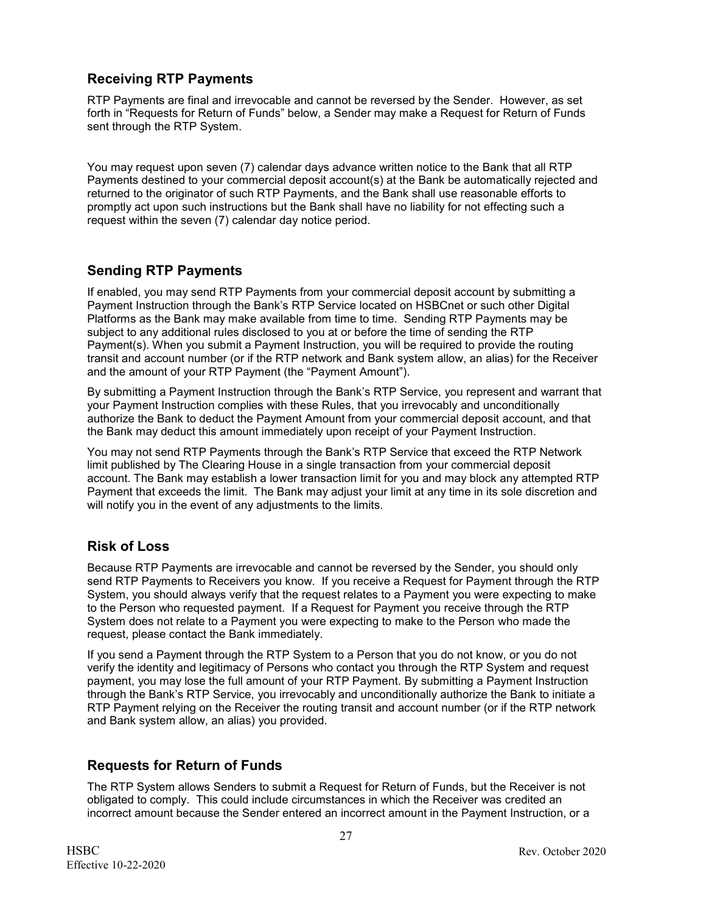# **Receiving RTP Payments**

RTP Payments are final and irrevocable and cannot be reversed by the Sender. However, as set forth in "Requests for Return of Funds" below, a Sender may make a Request for Return of Funds sent through the RTP System.

You may request upon seven (7) calendar days advance written notice to the Bank that all RTP Payments destined to your commercial deposit account(s) at the Bank be automatically rejected and returned to the originator of such RTP Payments, and the Bank shall use reasonable efforts to promptly act upon such instructions but the Bank shall have no liability for not effecting such a request within the seven (7) calendar day notice period.

# **Sending RTP Payments**

If enabled, you may send RTP Payments from your commercial deposit account by submitting a Payment Instruction through the Bank's RTP Service located on HSBCnet or such other Digital Platforms as the Bank may make available from time to time. Sending RTP Payments may be subject to any additional rules disclosed to you at or before the time of sending the RTP Payment(s). When you submit a Payment Instruction, you will be required to provide the routing transit and account number (or if the RTP network and Bank system allow, an alias) for the Receiver and the amount of your RTP Payment (the "Payment Amount").

By submitting a Payment Instruction through the Bank's RTP Service, you represent and warrant that your Payment Instruction complies with these Rules, that you irrevocably and unconditionally authorize the Bank to deduct the Payment Amount from your commercial deposit account, and that the Bank may deduct this amount immediately upon receipt of your Payment Instruction.

You may not send RTP Payments through the Bank's RTP Service that exceed the RTP Network limit published by The Clearing House in a single transaction from your commercial deposit account. The Bank may establish a lower transaction limit for you and may block any attempted RTP Payment that exceeds the limit. The Bank may adjust your limit at any time in its sole discretion and will notify you in the event of any adjustments to the limits.

# **Risk of Loss**

Because RTP Payments are irrevocable and cannot be reversed by the Sender, you should only send RTP Payments to Receivers you know. If you receive a Request for Payment through the RTP System, you should always verify that the request relates to a Payment you were expecting to make to the Person who requested payment. If a Request for Payment you receive through the RTP System does not relate to a Payment you were expecting to make to the Person who made the request, please contact the Bank immediately.

If you send a Payment through the RTP System to a Person that you do not know, or you do not verify the identity and legitimacy of Persons who contact you through the RTP System and request payment, you may lose the full amount of your RTP Payment. By submitting a Payment Instruction through the Bank's RTP Service, you irrevocably and unconditionally authorize the Bank to initiate a RTP Payment relying on the Receiver the routing transit and account number (or if the RTP network and Bank system allow, an alias) you provided.

# **Requests for Return of Funds**

The RTP System allows Senders to submit a Request for Return of Funds, but the Receiver is not obligated to comply. This could include circumstances in which the Receiver was credited an incorrect amount because the Sender entered an incorrect amount in the Payment Instruction, or a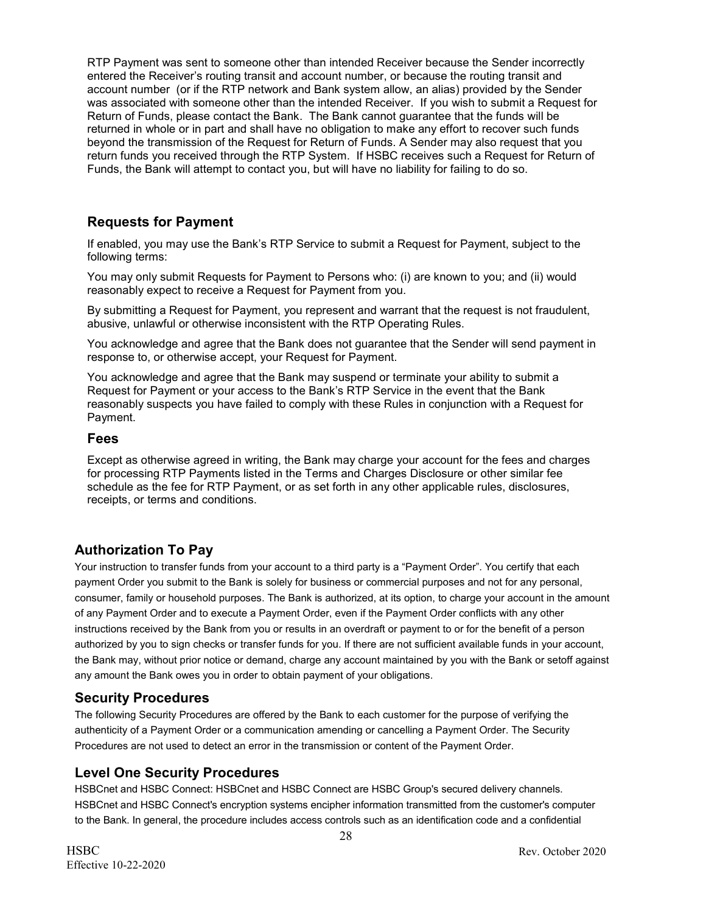RTP Payment was sent to someone other than intended Receiver because the Sender incorrectly entered the Receiver's routing transit and account number, or because the routing transit and account number (or if the RTP network and Bank system allow, an alias) provided by the Sender was associated with someone other than the intended Receiver. If you wish to submit a Request for Return of Funds, please contact the Bank. The Bank cannot guarantee that the funds will be returned in whole or in part and shall have no obligation to make any effort to recover such funds beyond the transmission of the Request for Return of Funds. A Sender may also request that you return funds you received through the RTP System. If HSBC receives such a Request for Return of Funds, the Bank will attempt to contact you, but will have no liability for failing to do so.

### **Requests for Payment**

If enabled, you may use the Bank's RTP Service to submit a Request for Payment, subject to the following terms:

You may only submit Requests for Payment to Persons who: (i) are known to you; and (ii) would reasonably expect to receive a Request for Payment from you.

By submitting a Request for Payment, you represent and warrant that the request is not fraudulent, abusive, unlawful or otherwise inconsistent with the RTP Operating Rules.

You acknowledge and agree that the Bank does not guarantee that the Sender will send payment in response to, or otherwise accept, your Request for Payment.

You acknowledge and agree that the Bank may suspend or terminate your ability to submit a Request for Payment or your access to the Bank's RTP Service in the event that the Bank reasonably suspects you have failed to comply with these Rules in conjunction with a Request for Payment.

#### **Fees**

Except as otherwise agreed in writing, the Bank may charge your account for the fees and charges for processing RTP Payments listed in the Terms and Charges Disclosure or other similar fee schedule as the fee for RTP Payment, or as set forth in any other applicable rules, disclosures, receipts, or terms and conditions.

### **Authorization To Pay**

Your instruction to transfer funds from your account to a third party is a "Payment Order". You certify that each payment Order you submit to the Bank is solely for business or commercial purposes and not for any personal, consumer, family or household purposes. The Bank is authorized, at its option, to charge your account in the amount of any Payment Order and to execute a Payment Order, even if the Payment Order conflicts with any other instructions received by the Bank from you or results in an overdraft or payment to or for the benefit of a person authorized by you to sign checks or transfer funds for you. If there are not sufficient available funds in your account, the Bank may, without prior notice or demand, charge any account maintained by you with the Bank or setoff against any amount the Bank owes you in order to obtain payment of your obligations.

### **Security Procedures**

The following Security Procedures are offered by the Bank to each customer for the purpose of verifying the authenticity of a Payment Order or a communication amending or cancelling a Payment Order. The Security Procedures are not used to detect an error in the transmission or content of the Payment Order.

### **Level One Security Procedures**

HSBCnet and HSBC Connect: HSBCnet and HSBC Connect are HSBC Group's secured delivery channels. HSBCnet and HSBC Connect's encryption systems encipher information transmitted from the customer's computer to the Bank. In general, the procedure includes access controls such as an identification code and a confidential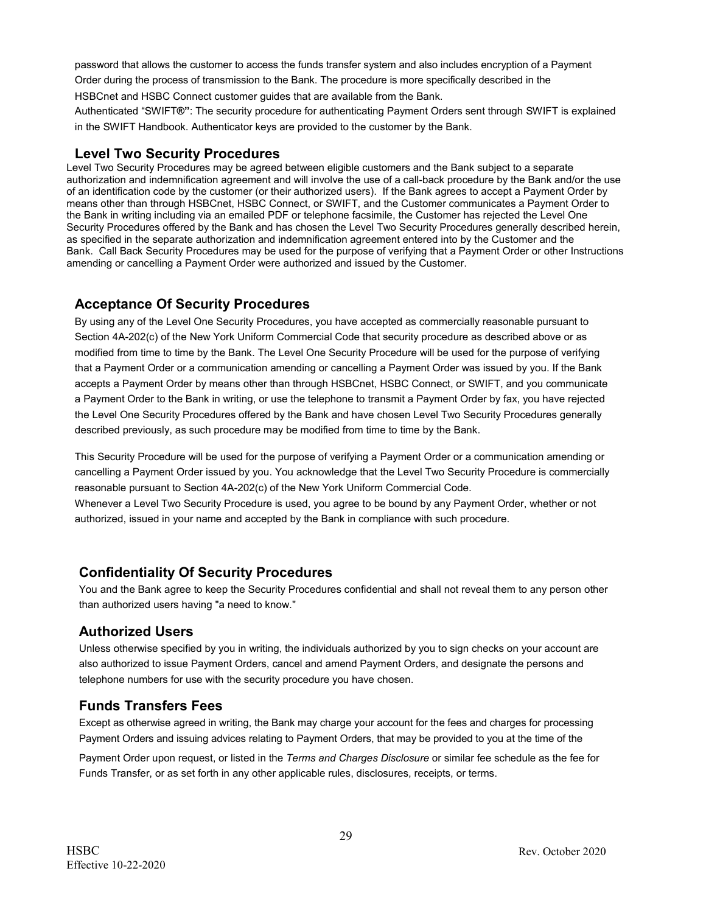password that allows the customer to access the funds transfer system and also includes encryption of a Payment

Order during the process of transmission to the Bank. The procedure is more specifically described in the HSBCnet and HSBC Connect customer guides that are available from the Bank.

Authenticated "SWIFT**®"**: The security procedure for authenticating Payment Orders sent through SWIFT is explained in the SWIFT Handbook. Authenticator keys are provided to the customer by the Bank.

### **Level Two Security Procedures**

Level Two Security Procedures may be agreed between eligible customers and the Bank subject to a separate authorization and indemnification agreement and will involve the use of a call-back procedure by the Bank and/or the use of an identification code by the customer (or their authorized users). If the Bank agrees to accept a Payment Order by means other than through HSBCnet, HSBC Connect, or SWIFT, and the Customer communicates a Payment Order to the Bank in writing including via an emailed PDF or telephone facsimile, the Customer has rejected the Level One Security Procedures offered by the Bank and has chosen the Level Two Security Procedures generally described herein, as specified in the separate authorization and indemnification agreement entered into by the Customer and the Bank. Call Back Security Procedures may be used for the purpose of verifying that a Payment Order or other Instructions amending or cancelling a Payment Order were authorized and issued by the Customer.

# **Acceptance Of Security Procedures**

By using any of the Level One Security Procedures, you have accepted as commercially reasonable pursuant to Section 4A-202(c) of the New York Uniform Commercial Code that security procedure as described above or as modified from time to time by the Bank. The Level One Security Procedure will be used for the purpose of verifying that a Payment Order or a communication amending or cancelling a Payment Order was issued by you. If the Bank accepts a Payment Order by means other than through HSBCnet, HSBC Connect, or SWIFT, and you communicate a Payment Order to the Bank in writing, or use the telephone to transmit a Payment Order by fax, you have rejected the Level One Security Procedures offered by the Bank and have chosen Level Two Security Procedures generally described previously, as such procedure may be modified from time to time by the Bank.

This Security Procedure will be used for the purpose of verifying a Payment Order or a communication amending or cancelling a Payment Order issued by you. You acknowledge that the Level Two Security Procedure is commercially reasonable pursuant to Section 4A-202(c) of the New York Uniform Commercial Code.

Whenever a Level Two Security Procedure is used, you agree to be bound by any Payment Order, whether or not authorized, issued in your name and accepted by the Bank in compliance with such procedure.

# **Confidentiality Of Security Procedures**

You and the Bank agree to keep the Security Procedures confidential and shall not reveal them to any person other than authorized users having "a need to know."

### **Authorized Users**

Unless otherwise specified by you in writing, the individuals authorized by you to sign checks on your account are also authorized to issue Payment Orders, cancel and amend Payment Orders, and designate the persons and telephone numbers for use with the security procedure you have chosen.

# **Funds Transfers Fees**

Except as otherwise agreed in writing, the Bank may charge your account for the fees and charges for processing Payment Orders and issuing advices relating to Payment Orders, that may be provided to you at the time of the

Payment Order upon request, or listed in the *Terms and Charges Disclosure* or similar fee schedule as the fee for Funds Transfer, or as set forth in any other applicable rules, disclosures, receipts, or terms.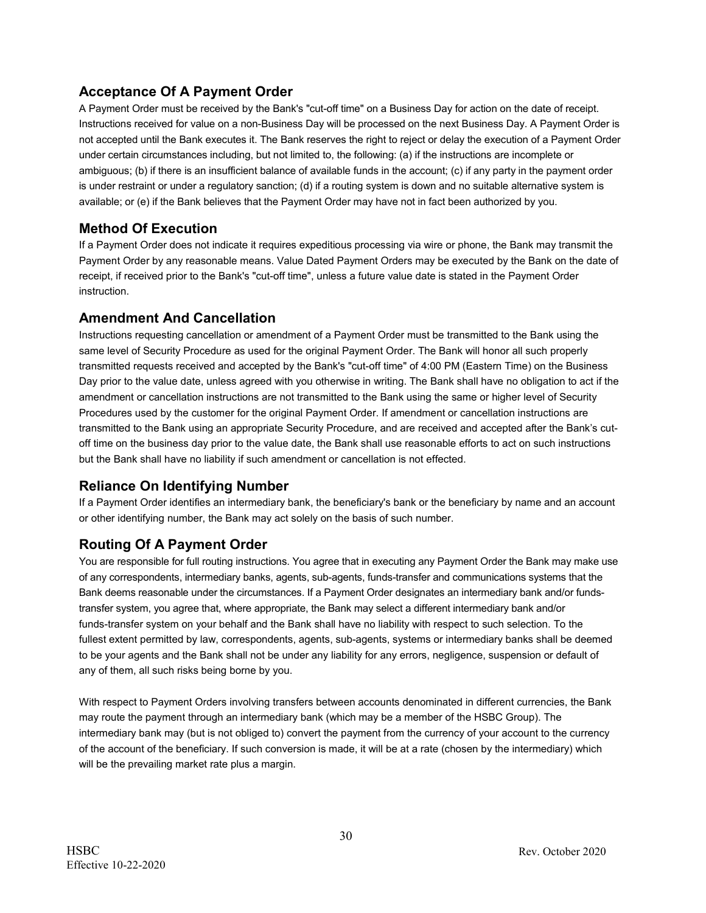# **Acceptance Of A Payment Order**

A Payment Order must be received by the Bank's "cut-off time" on a Business Day for action on the date of receipt. Instructions received for value on a non-Business Day will be processed on the next Business Day. A Payment Order is not accepted until the Bank executes it. The Bank reserves the right to reject or delay the execution of a Payment Order under certain circumstances including, but not limited to, the following: (a) if the instructions are incomplete or ambiguous; (b) if there is an insufficient balance of available funds in the account; (c) if any party in the payment order is under restraint or under a regulatory sanction; (d) if a routing system is down and no suitable alternative system is available; or (e) if the Bank believes that the Payment Order may have not in fact been authorized by you.

### **Method Of Execution**

If a Payment Order does not indicate it requires expeditious processing via wire or phone, the Bank may transmit the Payment Order by any reasonable means. Value Dated Payment Orders may be executed by the Bank on the date of receipt, if received prior to the Bank's "cut-off time", unless a future value date is stated in the Payment Order instruction.

# **Amendment And Cancellation**

Instructions requesting cancellation or amendment of a Payment Order must be transmitted to the Bank using the same level of Security Procedure as used for the original Payment Order. The Bank will honor all such properly transmitted requests received and accepted by the Bank's "cut-off time" of 4:00 PM (Eastern Time) on the Business Day prior to the value date, unless agreed with you otherwise in writing. The Bank shall have no obligation to act if the amendment or cancellation instructions are not transmitted to the Bank using the same or higher level of Security Procedures used by the customer for the original Payment Order. If amendment or cancellation instructions are transmitted to the Bank using an appropriate Security Procedure, and are received and accepted after the Bank's cutoff time on the business day prior to the value date, the Bank shall use reasonable efforts to act on such instructions but the Bank shall have no liability if such amendment or cancellation is not effected.

# **Reliance On Identifying Number**

If a Payment Order identifies an intermediary bank, the beneficiary's bank or the beneficiary by name and an account or other identifying number, the Bank may act solely on the basis of such number.

# **Routing Of A Payment Order**

You are responsible for full routing instructions. You agree that in executing any Payment Order the Bank may make use of any correspondents, intermediary banks, agents, sub-agents, funds-transfer and communications systems that the Bank deems reasonable under the circumstances. If a Payment Order designates an intermediary bank and/or fundstransfer system, you agree that, where appropriate, the Bank may select a different intermediary bank and/or funds-transfer system on your behalf and the Bank shall have no liability with respect to such selection. To the fullest extent permitted by law, correspondents, agents, sub-agents, systems or intermediary banks shall be deemed to be your agents and the Bank shall not be under any liability for any errors, negligence, suspension or default of any of them, all such risks being borne by you.

With respect to Payment Orders involving transfers between accounts denominated in different currencies, the Bank may route the payment through an intermediary bank (which may be a member of the HSBC Group). The intermediary bank may (but is not obliged to) convert the payment from the currency of your account to the currency of the account of the beneficiary. If such conversion is made, it will be at a rate (chosen by the intermediary) which will be the prevailing market rate plus a margin.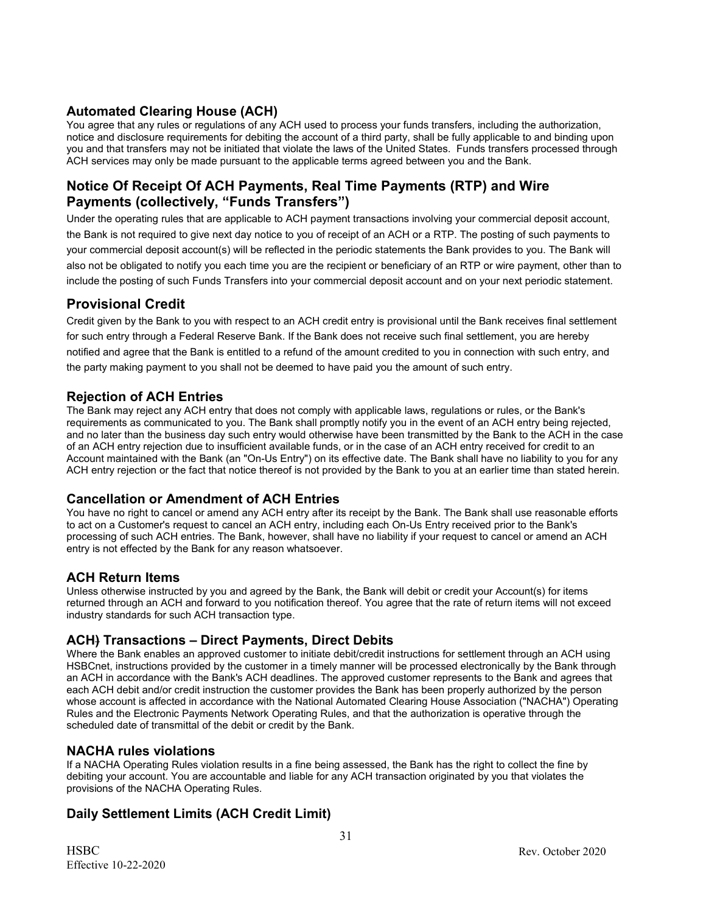### **Automated Clearing House (ACH)**

You agree that any rules or regulations of any ACH used to process your funds transfers, including the authorization, notice and disclosure requirements for debiting the account of a third party, shall be fully applicable to and binding upon you and that transfers may not be initiated that violate the laws of the United States. Funds transfers processed through ACH services may only be made pursuant to the applicable terms agreed between you and the Bank.

### **Notice Of Receipt Of ACH Payments, Real Time Payments (RTP) and Wire Payments (collectively, "Funds Transfers")**

Under the operating rules that are applicable to ACH payment transactions involving your commercial deposit account, the Bank is not required to give next day notice to you of receipt of an ACH or a RTP. The posting of such payments to your commercial deposit account(s) will be reflected in the periodic statements the Bank provides to you. The Bank will also not be obligated to notify you each time you are the recipient or beneficiary of an RTP or wire payment, other than to include the posting of such Funds Transfers into your commercial deposit account and on your next periodic statement.

### **Provisional Credit**

Credit given by the Bank to you with respect to an ACH credit entry is provisional until the Bank receives final settlement for such entry through a Federal Reserve Bank. If the Bank does not receive such final settlement, you are hereby notified and agree that the Bank is entitled to a refund of the amount credited to you in connection with such entry, and the party making payment to you shall not be deemed to have paid you the amount of such entry.

### **Rejection of ACH Entries**

The Bank may reject any ACH entry that does not comply with applicable laws, regulations or rules, or the Bank's requirements as communicated to you. The Bank shall promptly notify you in the event of an ACH entry being rejected, and no later than the business day such entry would otherwise have been transmitted by the Bank to the ACH in the case of an ACH entry rejection due to insufficient available funds, or in the case of an ACH entry received for credit to an Account maintained with the Bank (an "On-Us Entry") on its effective date. The Bank shall have no liability to you for any ACH entry rejection or the fact that notice thereof is not provided by the Bank to you at an earlier time than stated herein.

### **Cancellation or Amendment of ACH Entries**

You have no right to cancel or amend any ACH entry after its receipt by the Bank. The Bank shall use reasonable efforts to act on a Customer's request to cancel an ACH entry, including each On-Us Entry received prior to the Bank's processing of such ACH entries. The Bank, however, shall have no liability if your request to cancel or amend an ACH entry is not effected by the Bank for any reason whatsoever.

### **ACH Return Items**

Unless otherwise instructed by you and agreed by the Bank, the Bank will debit or credit your Account(s) for items returned through an ACH and forward to you notification thereof. You agree that the rate of return items will not exceed industry standards for such ACH transaction type.

### **ACH) Transactions – Direct Payments, Direct Debits**

Where the Bank enables an approved customer to initiate debit/credit instructions for settlement through an ACH using HSBCnet, instructions provided by the customer in a timely manner will be processed electronically by the Bank through an ACH in accordance with the Bank's ACH deadlines. The approved customer represents to the Bank and agrees that each ACH debit and/or credit instruction the customer provides the Bank has been properly authorized by the person whose account is affected in accordance with the National Automated Clearing House Association ("NACHA") Operating Rules and the Electronic Payments Network Operating Rules, and that the authorization is operative through the scheduled date of transmittal of the debit or credit by the Bank.

### **NACHA rules violations**

If a NACHA Operating Rules violation results in a fine being assessed, the Bank has the right to collect the fine by debiting your account. You are accountable and liable for any ACH transaction originated by you that violates the provisions of the NACHA Operating Rules.

### **Daily Settlement Limits (ACH Credit Limit)**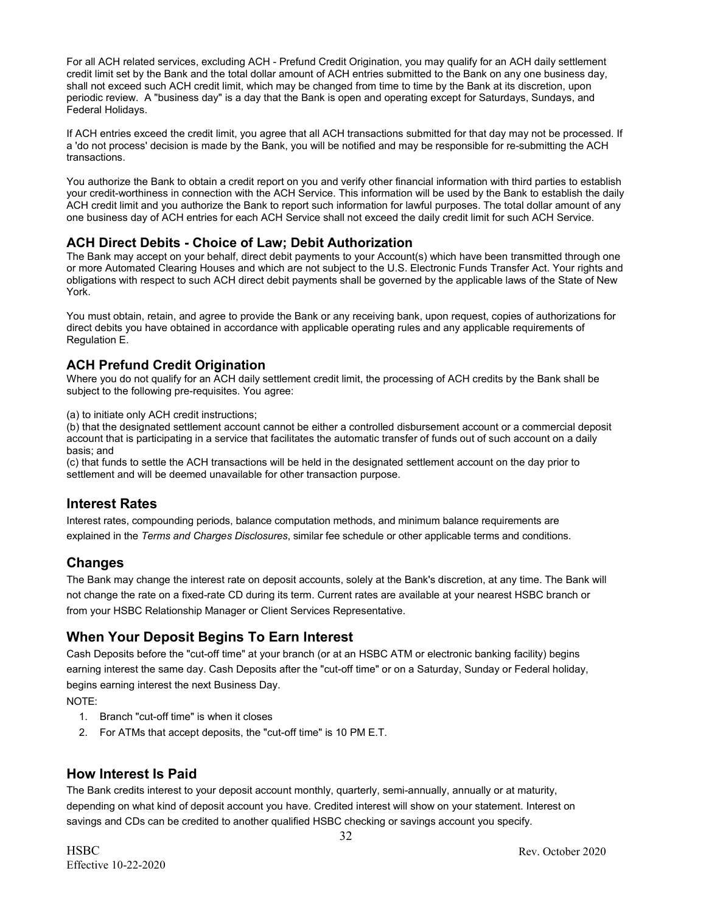For all ACH related services, excluding ACH - Prefund Credit Origination, you may qualify for an ACH daily settlement credit limit set by the Bank and the total dollar amount of ACH entries submitted to the Bank on any one business day, shall not exceed such ACH credit limit, which may be changed from time to time by the Bank at its discretion, upon periodic review. A "business day" is a day that the Bank is open and operating except for Saturdays, Sundays, and Federal Holidays.

If ACH entries exceed the credit limit, you agree that all ACH transactions submitted for that day may not be processed. If a 'do not process' decision is made by the Bank, you will be notified and may be responsible for re-submitting the ACH transactions.

You authorize the Bank to obtain a credit report on you and verify other financial information with third parties to establish your credit-worthiness in connection with the ACH Service. This information will be used by the Bank to establish the daily ACH credit limit and you authorize the Bank to report such information for lawful purposes. The total dollar amount of any one business day of ACH entries for each ACH Service shall not exceed the daily credit limit for such ACH Service.

### **ACH Direct Debits - Choice of Law; Debit Authorization**

The Bank may accept on your behalf, direct debit payments to your Account(s) which have been transmitted through one or more Automated Clearing Houses and which are not subject to the U.S. Electronic Funds Transfer Act. Your rights and obligations with respect to such ACH direct debit payments shall be governed by the applicable laws of the State of New York.

You must obtain, retain, and agree to provide the Bank or any receiving bank, upon request, copies of authorizations for direct debits you have obtained in accordance with applicable operating rules and any applicable requirements of Regulation E.

### **ACH Prefund Credit Origination**

Where you do not qualify for an ACH daily settlement credit limit, the processing of ACH credits by the Bank shall be subject to the following pre-requisites. You agree:

(a) to initiate only ACH credit instructions;

(b) that the designated settlement account cannot be either a controlled disbursement account or a commercial deposit account that is participating in a service that facilitates the automatic transfer of funds out of such account on a daily basis; and

(c) that funds to settle the ACH transactions will be held in the designated settlement account on the day prior to settlement and will be deemed unavailable for other transaction purpose.

# **Interest Rates**

Interest rates, compounding periods, balance computation methods, and minimum balance requirements are explained in the *Terms and Charges Disclosures*, similar fee schedule or other applicable terms and conditions.

# **Changes**

The Bank may change the interest rate on deposit accounts, solely at the Bank's discretion, at any time. The Bank will not change the rate on a fixed-rate CD during its term. Current rates are available at your nearest HSBC branch or from your HSBC Relationship Manager or Client Services Representative.

# **When Your Deposit Begins To Earn Interest**

Cash Deposits before the "cut-off time" at your branch (or at an HSBC ATM or electronic banking facility) begins earning interest the same day. Cash Deposits after the "cut-off time" or on a Saturday, Sunday or Federal holiday, begins earning interest the next Business Day.

NOTE:

- 1. Branch "cut-off time" is when it closes
- 2. For ATMs that accept deposits, the "cut-off time" is 10 PM E.T.

# **How Interest Is Paid**

The Bank credits interest to your deposit account monthly, quarterly, semi-annually, annually or at maturity, depending on what kind of deposit account you have. Credited interest will show on your statement. Interest on savings and CDs can be credited to another qualified HSBC checking or savings account you specify.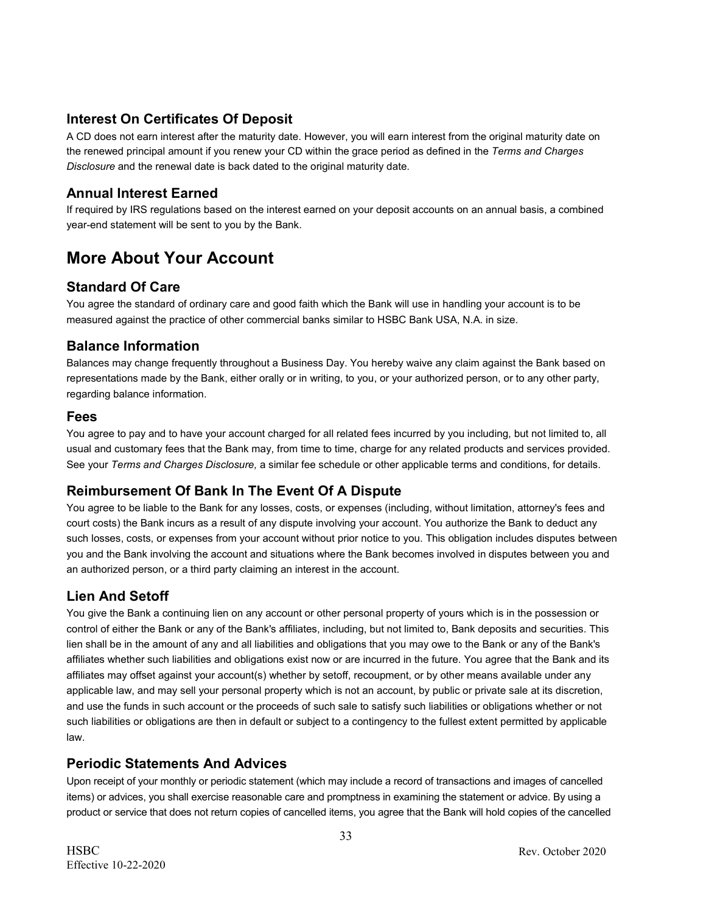### **Interest On Certificates Of Deposit**

A CD does not earn interest after the maturity date. However, you will earn interest from the original maturity date on the renewed principal amount if you renew your CD within the grace period as defined in the *Terms and Charges Disclosure* and the renewal date is back dated to the original maturity date.

### **Annual Interest Earned**

If required by IRS regulations based on the interest earned on your deposit accounts on an annual basis, a combined year-end statement will be sent to you by the Bank.

# **More About Your Account**

### **Standard Of Care**

You agree the standard of ordinary care and good faith which the Bank will use in handling your account is to be measured against the practice of other commercial banks similar to HSBC Bank USA, N.A. in size.

### **Balance Information**

Balances may change frequently throughout a Business Day. You hereby waive any claim against the Bank based on representations made by the Bank, either orally or in writing, to you, or your authorized person, or to any other party, regarding balance information.

### **Fees**

You agree to pay and to have your account charged for all related fees incurred by you including, but not limited to, all usual and customary fees that the Bank may, from time to time, charge for any related products and services provided. See your *Terms and Charges Disclosure,* a similar fee schedule or other applicable terms and conditions, for details.

### **Reimbursement Of Bank In The Event Of A Dispute**

You agree to be liable to the Bank for any losses, costs, or expenses (including, without limitation, attorney's fees and court costs) the Bank incurs as a result of any dispute involving your account. You authorize the Bank to deduct any such losses, costs, or expenses from your account without prior notice to you. This obligation includes disputes between you and the Bank involving the account and situations where the Bank becomes involved in disputes between you and an authorized person, or a third party claiming an interest in the account.

# **Lien And Setoff**

You give the Bank a continuing lien on any account or other personal property of yours which is in the possession or control of either the Bank or any of the Bank's affiliates, including, but not limited to, Bank deposits and securities. This lien shall be in the amount of any and all liabilities and obligations that you may owe to the Bank or any of the Bank's affiliates whether such liabilities and obligations exist now or are incurred in the future. You agree that the Bank and its affiliates may offset against your account(s) whether by setoff, recoupment, or by other means available under any applicable law, and may sell your personal property which is not an account, by public or private sale at its discretion, and use the funds in such account or the proceeds of such sale to satisfy such liabilities or obligations whether or not such liabilities or obligations are then in default or subject to a contingency to the fullest extent permitted by applicable law.

### **Periodic Statements And Advices**

Upon receipt of your monthly or periodic statement (which may include a record of transactions and images of cancelled items) or advices, you shall exercise reasonable care and promptness in examining the statement or advice. By using a product or service that does not return copies of cancelled items, you agree that the Bank will hold copies of the cancelled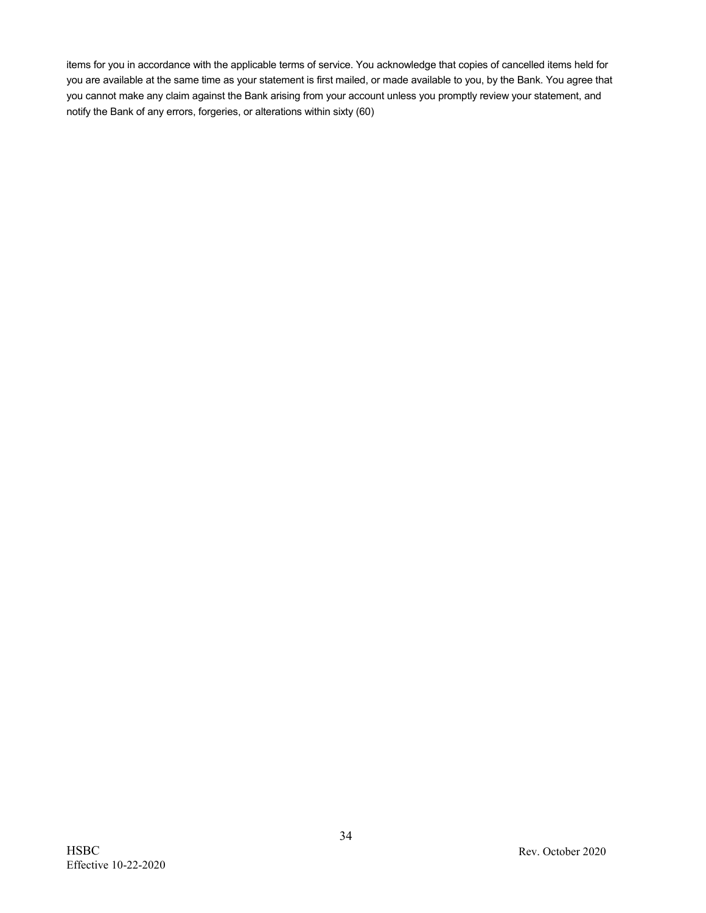items for you in accordance with the applicable terms of service. You acknowledge that copies of cancelled items held for you are available at the same time as your statement is first mailed, or made available to you, by the Bank. You agree that you cannot make any claim against the Bank arising from your account unless you promptly review your statement, and notify the Bank of any errors, forgeries, or alterations within sixty (60)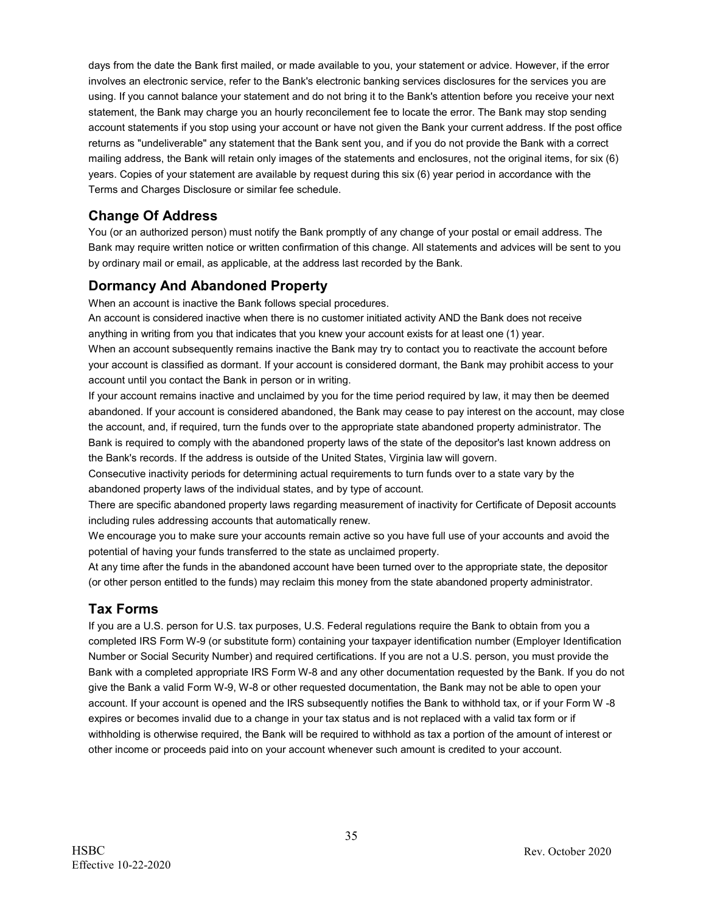days from the date the Bank first mailed, or made available to you, your statement or advice. However, if the error involves an electronic service, refer to the Bank's electronic banking services disclosures for the services you are using. If you cannot balance your statement and do not bring it to the Bank's attention before you receive your next statement, the Bank may charge you an hourly reconcilement fee to locate the error. The Bank may stop sending account statements if you stop using your account or have not given the Bank your current address. If the post office returns as "undeliverable" any statement that the Bank sent you, and if you do not provide the Bank with a correct mailing address, the Bank will retain only images of the statements and enclosures, not the original items, for six (6) years. Copies of your statement are available by request during this six (6) year period in accordance with the Terms and Charges Disclosure or similar fee schedule.

# **Change Of Address**

You (or an authorized person) must notify the Bank promptly of any change of your postal or email address. The Bank may require written notice or written confirmation of this change. All statements and advices will be sent to you by ordinary mail or email, as applicable, at the address last recorded by the Bank.

# **Dormancy And Abandoned Property**

When an account is inactive the Bank follows special procedures.

An account is considered inactive when there is no customer initiated activity AND the Bank does not receive anything in writing from you that indicates that you knew your account exists for at least one (1) year. When an account subsequently remains inactive the Bank may try to contact you to reactivate the account before your account is classified as dormant. If your account is considered dormant, the Bank may prohibit access to your account until you contact the Bank in person or in writing.

If your account remains inactive and unclaimed by you for the time period required by law, it may then be deemed abandoned. If your account is considered abandoned, the Bank may cease to pay interest on the account, may close the account, and, if required, turn the funds over to the appropriate state abandoned property administrator. The Bank is required to comply with the abandoned property laws of the state of the depositor's last known address on the Bank's records. If the address is outside of the United States, Virginia law will govern.

Consecutive inactivity periods for determining actual requirements to turn funds over to a state vary by the abandoned property laws of the individual states, and by type of account.

There are specific abandoned property laws regarding measurement of inactivity for Certificate of Deposit accounts including rules addressing accounts that automatically renew.

We encourage you to make sure your accounts remain active so you have full use of your accounts and avoid the potential of having your funds transferred to the state as unclaimed property.

At any time after the funds in the abandoned account have been turned over to the appropriate state, the depositor (or other person entitled to the funds) may reclaim this money from the state abandoned property administrator.

### **Tax Forms**

If you are a U.S. person for U.S. tax purposes, U.S. Federal regulations require the Bank to obtain from you a completed IRS Form W-9 (or substitute form) containing your taxpayer identification number (Employer Identification Number or Social Security Number) and required certifications. If you are not a U.S. person, you must provide the Bank with a completed appropriate IRS Form W-8 and any other documentation requested by the Bank. If you do not give the Bank a valid Form W-9, W-8 or other requested documentation, the Bank may not be able to open your account. If your account is opened and the IRS subsequently notifies the Bank to withhold tax, or if your Form W -8 expires or becomes invalid due to a change in your tax status and is not replaced with a valid tax form or if withholding is otherwise required, the Bank will be required to withhold as tax a portion of the amount of interest or other income or proceeds paid into on your account whenever such amount is credited to your account.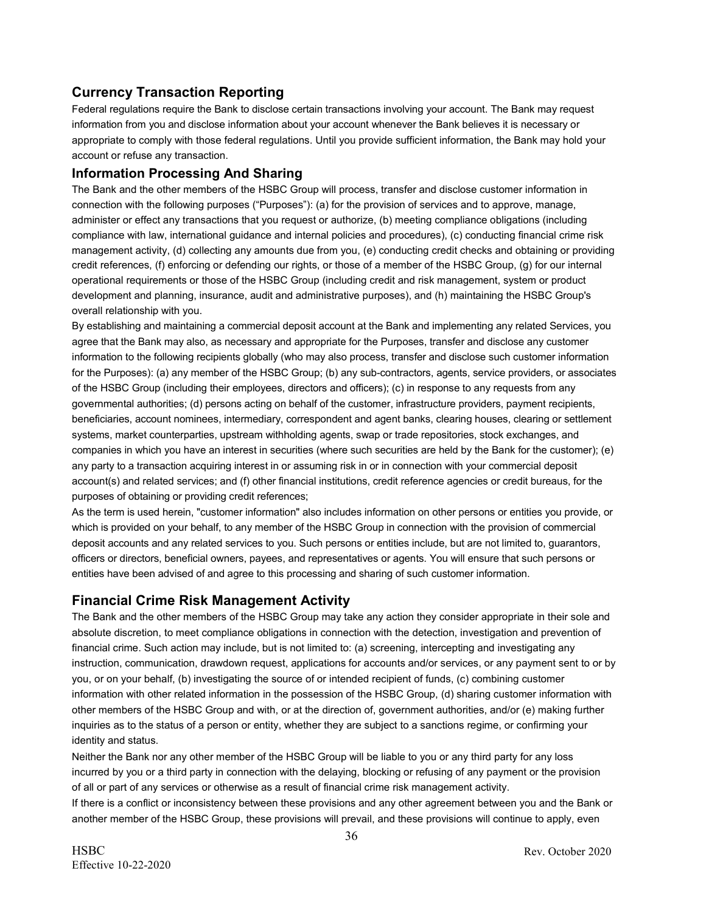# **Currency Transaction Reporting**

Federal regulations require the Bank to disclose certain transactions involving your account. The Bank may request information from you and disclose information about your account whenever the Bank believes it is necessary or appropriate to comply with those federal regulations. Until you provide sufficient information, the Bank may hold your account or refuse any transaction.

### **Information Processing And Sharing**

The Bank and the other members of the HSBC Group will process, transfer and disclose customer information in connection with the following purposes ("Purposes"): (a) for the provision of services and to approve, manage, administer or effect any transactions that you request or authorize, (b) meeting compliance obligations (including compliance with law, international guidance and internal policies and procedures), (c) conducting financial crime risk management activity, (d) collecting any amounts due from you, (e) conducting credit checks and obtaining or providing credit references, (f) enforcing or defending our rights, or those of a member of the HSBC Group, (g) for our internal operational requirements or those of the HSBC Group (including credit and risk management, system or product development and planning, insurance, audit and administrative purposes), and (h) maintaining the HSBC Group's overall relationship with you.

By establishing and maintaining a commercial deposit account at the Bank and implementing any related Services, you agree that the Bank may also, as necessary and appropriate for the Purposes, transfer and disclose any customer information to the following recipients globally (who may also process, transfer and disclose such customer information for the Purposes): (a) any member of the HSBC Group; (b) any sub-contractors, agents, service providers, or associates of the HSBC Group (including their employees, directors and officers); (c) in response to any requests from any governmental authorities; (d) persons acting on behalf of the customer, infrastructure providers, payment recipients, beneficiaries, account nominees, intermediary, correspondent and agent banks, clearing houses, clearing or settlement systems, market counterparties, upstream withholding agents, swap or trade repositories, stock exchanges, and companies in which you have an interest in securities (where such securities are held by the Bank for the customer); (e) any party to a transaction acquiring interest in or assuming risk in or in connection with your commercial deposit account(s) and related services; and (f) other financial institutions, credit reference agencies or credit bureaus, for the purposes of obtaining or providing credit references;

As the term is used herein, "customer information" also includes information on other persons or entities you provide, or which is provided on your behalf, to any member of the HSBC Group in connection with the provision of commercial deposit accounts and any related services to you. Such persons or entities include, but are not limited to, guarantors, officers or directors, beneficial owners, payees, and representatives or agents. You will ensure that such persons or entities have been advised of and agree to this processing and sharing of such customer information.

### **Financial Crime Risk Management Activity**

The Bank and the other members of the HSBC Group may take any action they consider appropriate in their sole and absolute discretion, to meet compliance obligations in connection with the detection, investigation and prevention of financial crime. Such action may include, but is not limited to: (a) screening, intercepting and investigating any instruction, communication, drawdown request, applications for accounts and/or services, or any payment sent to or by you, or on your behalf, (b) investigating the source of or intended recipient of funds, (c) combining customer information with other related information in the possession of the HSBC Group, (d) sharing customer information with other members of the HSBC Group and with, or at the direction of, government authorities, and/or (e) making further inquiries as to the status of a person or entity, whether they are subject to a sanctions regime, or confirming your identity and status.

Neither the Bank nor any other member of the HSBC Group will be liable to you or any third party for any loss incurred by you or a third party in connection with the delaying, blocking or refusing of any payment or the provision of all or part of any services or otherwise as a result of financial crime risk management activity.

If there is a conflict or inconsistency between these provisions and any other agreement between you and the Bank or another member of the HSBC Group, these provisions will prevail, and these provisions will continue to apply, even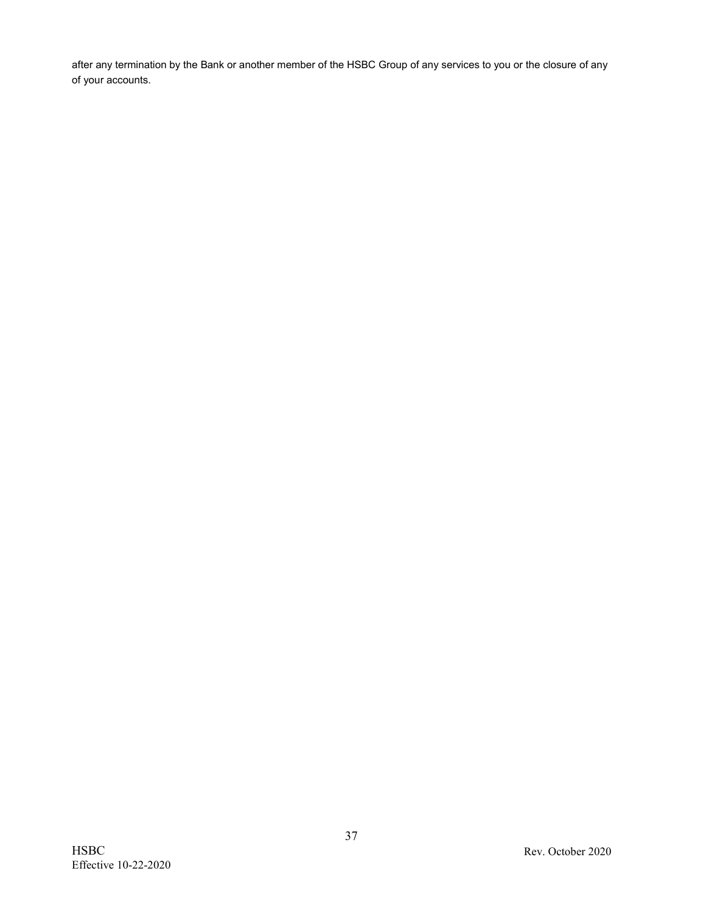after any termination by the Bank or another member of the HSBC Group of any services to you or the closure of any of your accounts.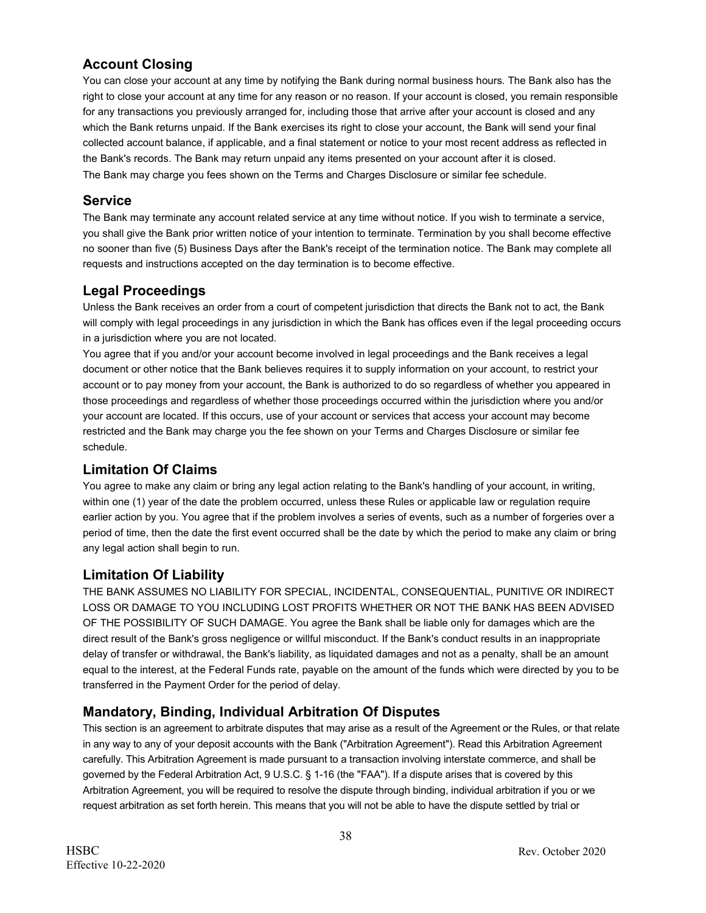# **Account Closing**

You can close your account at any time by notifying the Bank during normal business hours. The Bank also has the right to close your account at any time for any reason or no reason. If your account is closed, you remain responsible for any transactions you previously arranged for, including those that arrive after your account is closed and any which the Bank returns unpaid. If the Bank exercises its right to close your account, the Bank will send your final collected account balance, if applicable, and a final statement or notice to your most recent address as reflected in the Bank's records. The Bank may return unpaid any items presented on your account after it is closed. The Bank may charge you fees shown on the Terms and Charges Disclosure or similar fee schedule.

# **Service**

The Bank may terminate any account related service at any time without notice. If you wish to terminate a service, you shall give the Bank prior written notice of your intention to terminate. Termination by you shall become effective no sooner than five (5) Business Days after the Bank's receipt of the termination notice. The Bank may complete all requests and instructions accepted on the day termination is to become effective.

# **Legal Proceedings**

Unless the Bank receives an order from a court of competent jurisdiction that directs the Bank not to act, the Bank will comply with legal proceedings in any jurisdiction in which the Bank has offices even if the legal proceeding occurs in a jurisdiction where you are not located.

You agree that if you and/or your account become involved in legal proceedings and the Bank receives a legal document or other notice that the Bank believes requires it to supply information on your account, to restrict your account or to pay money from your account, the Bank is authorized to do so regardless of whether you appeared in those proceedings and regardless of whether those proceedings occurred within the jurisdiction where you and/or your account are located. If this occurs, use of your account or services that access your account may become restricted and the Bank may charge you the fee shown on your Terms and Charges Disclosure or similar fee schedule.

# **Limitation Of Claims**

You agree to make any claim or bring any legal action relating to the Bank's handling of your account, in writing, within one (1) year of the date the problem occurred, unless these Rules or applicable law or regulation require earlier action by you. You agree that if the problem involves a series of events, such as a number of forgeries over a period of time, then the date the first event occurred shall be the date by which the period to make any claim or bring any legal action shall begin to run.

# **Limitation Of Liability**

THE BANK ASSUMES NO LIABILITY FOR SPECIAL, INCIDENTAL, CONSEQUENTIAL, PUNITIVE OR INDIRECT LOSS OR DAMAGE TO YOU INCLUDING LOST PROFITS WHETHER OR NOT THE BANK HAS BEEN ADVISED OF THE POSSIBILITY OF SUCH DAMAGE. You agree the Bank shall be liable only for damages which are the direct result of the Bank's gross negligence or willful misconduct. If the Bank's conduct results in an inappropriate delay of transfer or withdrawal, the Bank's liability, as liquidated damages and not as a penalty, shall be an amount equal to the interest, at the Federal Funds rate, payable on the amount of the funds which were directed by you to be transferred in the Payment Order for the period of delay.

# **Mandatory, Binding, Individual Arbitration Of Disputes**

This section is an agreement to arbitrate disputes that may arise as a result of the Agreement or the Rules, or that relate in any way to any of your deposit accounts with the Bank ("Arbitration Agreement"). Read this Arbitration Agreement carefully. This Arbitration Agreement is made pursuant to a transaction involving interstate commerce, and shall be governed by the Federal Arbitration Act, 9 U.S.C. § 1-16 (the "FAA"). If a dispute arises that is covered by this Arbitration Agreement, you will be required to resolve the dispute through binding, individual arbitration if you or we request arbitration as set forth herein. This means that you will not be able to have the dispute settled by trial or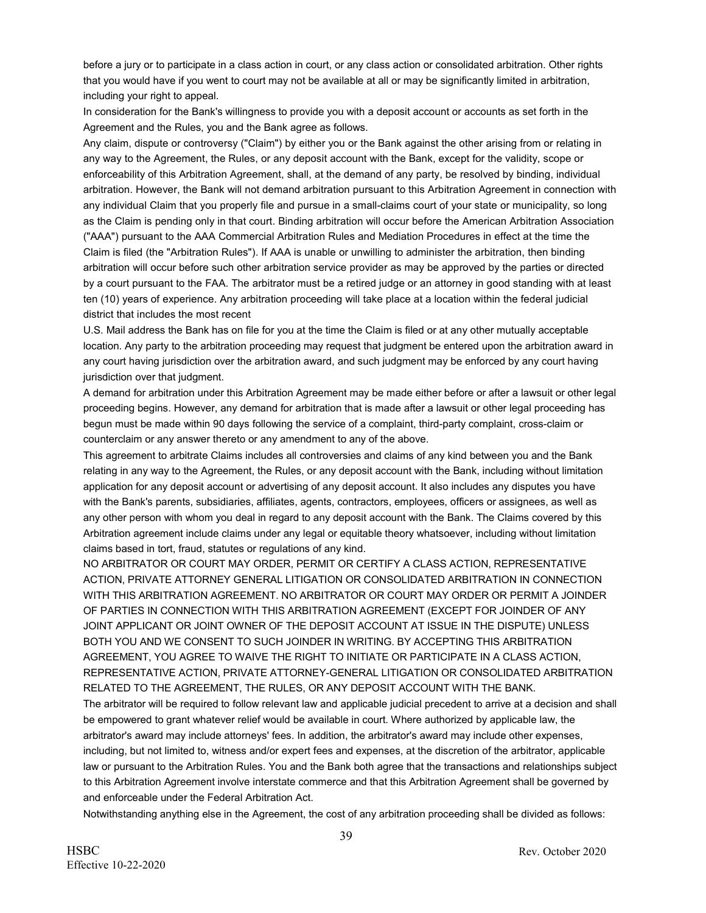before a jury or to participate in a class action in court, or any class action or consolidated arbitration. Other rights that you would have if you went to court may not be available at all or may be significantly limited in arbitration, including your right to appeal.

In consideration for the Bank's willingness to provide you with a deposit account or accounts as set forth in the Agreement and the Rules, you and the Bank agree as follows.

Any claim, dispute or controversy ("Claim") by either you or the Bank against the other arising from or relating in any way to the Agreement, the Rules, or any deposit account with the Bank, except for the validity, scope or enforceability of this Arbitration Agreement, shall, at the demand of any party, be resolved by binding, individual arbitration. However, the Bank will not demand arbitration pursuant to this Arbitration Agreement in connection with any individual Claim that you properly file and pursue in a small-claims court of your state or municipality, so long as the Claim is pending only in that court. Binding arbitration will occur before the American Arbitration Association ("AAA") pursuant to the AAA Commercial Arbitration Rules and Mediation Procedures in effect at the time the Claim is filed (the "Arbitration Rules"). If AAA is unable or unwilling to administer the arbitration, then binding arbitration will occur before such other arbitration service provider as may be approved by the parties or directed by a court pursuant to the FAA. The arbitrator must be a retired judge or an attorney in good standing with at least ten (10) years of experience. Any arbitration proceeding will take place at a location within the federal judicial district that includes the most recent

U.S. Mail address the Bank has on file for you at the time the Claim is filed or at any other mutually acceptable location. Any party to the arbitration proceeding may request that judgment be entered upon the arbitration award in any court having jurisdiction over the arbitration award, and such judgment may be enforced by any court having jurisdiction over that judgment.

A demand for arbitration under this Arbitration Agreement may be made either before or after a lawsuit or other legal proceeding begins. However, any demand for arbitration that is made after a lawsuit or other legal proceeding has begun must be made within 90 days following the service of a complaint, third-party complaint, cross-claim or counterclaim or any answer thereto or any amendment to any of the above.

This agreement to arbitrate Claims includes all controversies and claims of any kind between you and the Bank relating in any way to the Agreement, the Rules, or any deposit account with the Bank, including without limitation application for any deposit account or advertising of any deposit account. It also includes any disputes you have with the Bank's parents, subsidiaries, affiliates, agents, contractors, employees, officers or assignees, as well as any other person with whom you deal in regard to any deposit account with the Bank. The Claims covered by this Arbitration agreement include claims under any legal or equitable theory whatsoever, including without limitation claims based in tort, fraud, statutes or regulations of any kind.

NO ARBITRATOR OR COURT MAY ORDER, PERMIT OR CERTIFY A CLASS ACTION, REPRESENTATIVE ACTION, PRIVATE ATTORNEY GENERAL LITIGATION OR CONSOLIDATED ARBITRATION IN CONNECTION WITH THIS ARBITRATION AGREEMENT. NO ARBITRATOR OR COURT MAY ORDER OR PERMIT A JOINDER OF PARTIES IN CONNECTION WITH THIS ARBITRATION AGREEMENT (EXCEPT FOR JOINDER OF ANY JOINT APPLICANT OR JOINT OWNER OF THE DEPOSIT ACCOUNT AT ISSUE IN THE DISPUTE) UNLESS BOTH YOU AND WE CONSENT TO SUCH JOINDER IN WRITING. BY ACCEPTING THIS ARBITRATION AGREEMENT, YOU AGREE TO WAIVE THE RIGHT TO INITIATE OR PARTICIPATE IN A CLASS ACTION, REPRESENTATIVE ACTION, PRIVATE ATTORNEY-GENERAL LITIGATION OR CONSOLIDATED ARBITRATION RELATED TO THE AGREEMENT, THE RULES, OR ANY DEPOSIT ACCOUNT WITH THE BANK.

The arbitrator will be required to follow relevant law and applicable judicial precedent to arrive at a decision and shall be empowered to grant whatever relief would be available in court. Where authorized by applicable law, the arbitrator's award may include attorneys' fees. In addition, the arbitrator's award may include other expenses, including, but not limited to, witness and/or expert fees and expenses, at the discretion of the arbitrator, applicable law or pursuant to the Arbitration Rules. You and the Bank both agree that the transactions and relationships subject to this Arbitration Agreement involve interstate commerce and that this Arbitration Agreement shall be governed by and enforceable under the Federal Arbitration Act.

Notwithstanding anything else in the Agreement, the cost of any arbitration proceeding shall be divided as follows: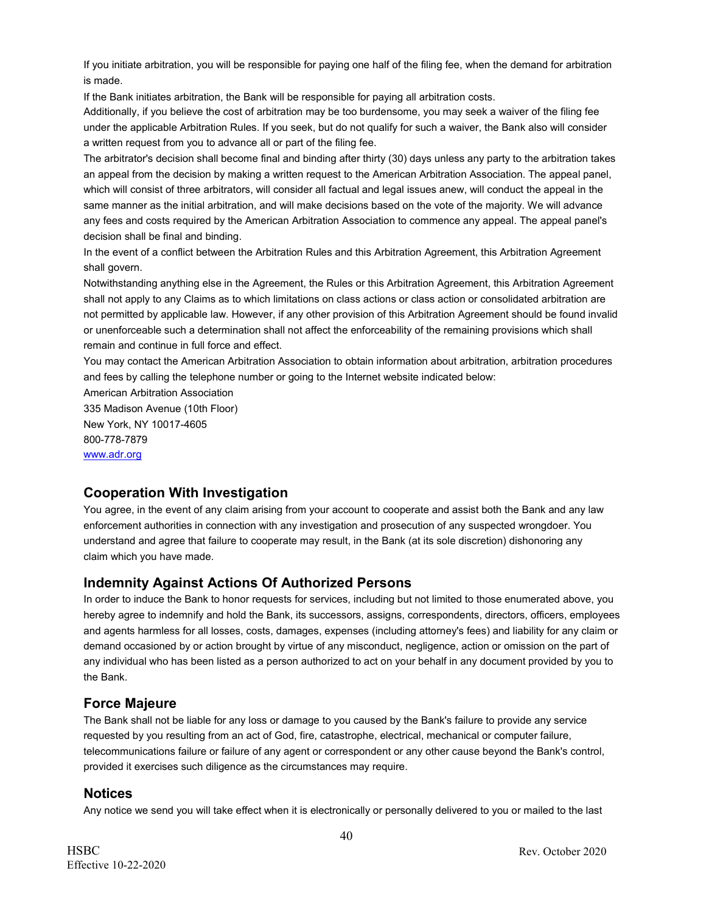If you initiate arbitration, you will be responsible for paying one half of the filing fee, when the demand for arbitration is made.

If the Bank initiates arbitration, the Bank will be responsible for paying all arbitration costs.

Additionally, if you believe the cost of arbitration may be too burdensome, you may seek a waiver of the filing fee under the applicable Arbitration Rules. If you seek, but do not qualify for such a waiver, the Bank also will consider a written request from you to advance all or part of the filing fee.

The arbitrator's decision shall become final and binding after thirty (30) days unless any party to the arbitration takes an appeal from the decision by making a written request to the American Arbitration Association. The appeal panel, which will consist of three arbitrators, will consider all factual and legal issues anew, will conduct the appeal in the same manner as the initial arbitration, and will make decisions based on the vote of the majority. We will advance any fees and costs required by the American Arbitration Association to commence any appeal. The appeal panel's decision shall be final and binding.

In the event of a conflict between the Arbitration Rules and this Arbitration Agreement, this Arbitration Agreement shall govern.

Notwithstanding anything else in the Agreement, the Rules or this Arbitration Agreement, this Arbitration Agreement shall not apply to any Claims as to which limitations on class actions or class action or consolidated arbitration are not permitted by applicable law. However, if any other provision of this Arbitration Agreement should be found invalid or unenforceable such a determination shall not affect the enforceability of the remaining provisions which shall remain and continue in full force and effect.

You may contact the American Arbitration Association to obtain information about arbitration, arbitration procedures and fees by calling the telephone number or going to the Internet website indicated below:

American Arbitration Association 335 Madison Avenue (10th Floor) New York, NY 10017-4605 800-778-7879 [www.adr.org](http://www.adr.org/)

### **Cooperation With Investigation**

You agree, in the event of any claim arising from your account to cooperate and assist both the Bank and any law enforcement authorities in connection with any investigation and prosecution of any suspected wrongdoer. You understand and agree that failure to cooperate may result, in the Bank (at its sole discretion) dishonoring any claim which you have made.

### **Indemnity Against Actions Of Authorized Persons**

In order to induce the Bank to honor requests for services, including but not limited to those enumerated above, you hereby agree to indemnify and hold the Bank, its successors, assigns, correspondents, directors, officers, employees and agents harmless for all losses, costs, damages, expenses (including attorney's fees) and liability for any claim or demand occasioned by or action brought by virtue of any misconduct, negligence, action or omission on the part of any individual who has been listed as a person authorized to act on your behalf in any document provided by you to the Bank.

### **Force Majeure**

The Bank shall not be liable for any loss or damage to you caused by the Bank's failure to provide any service requested by you resulting from an act of God, fire, catastrophe, electrical, mechanical or computer failure, telecommunications failure or failure of any agent or correspondent or any other cause beyond the Bank's control, provided it exercises such diligence as the circumstances may require.

### **Notices**

Any notice we send you will take effect when it is electronically or personally delivered to you or mailed to the last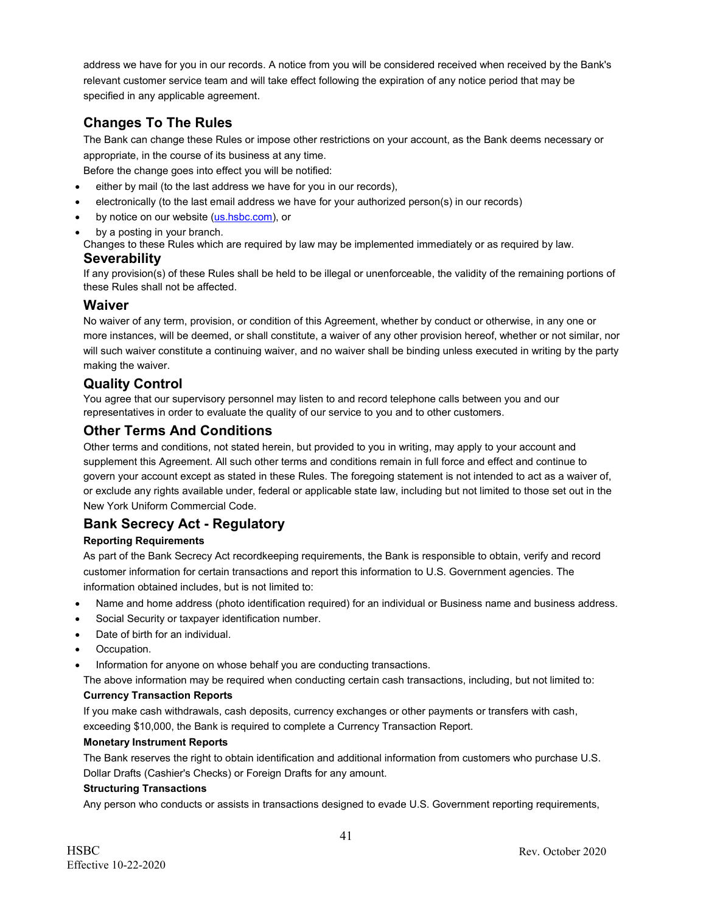address we have for you in our records. A notice from you will be considered received when received by the Bank's relevant customer service team and will take effect following the expiration of any notice period that may be specified in any applicable agreement.

# **Changes To The Rules**

The Bank can change these Rules or impose other restrictions on your account, as the Bank deems necessary or appropriate, in the course of its business at any time.

Before the change goes into effect you will be notified:

- either by mail (to the last address we have for you in our records),
- electronically (to the last email address we have for your authorized person(s) in our records)
- by notice on our website [\(us.hsbc.com\)](http://us.hsbc.com/), or
- by a posting in your branch.

Changes to these Rules which are required by law may be implemented immediately or as required by law. **Severability**

If any provision(s) of these Rules shall be held to be illegal or unenforceable, the validity of the remaining portions of these Rules shall not be affected.

### **Waiver**

No waiver of any term, provision, or condition of this Agreement, whether by conduct or otherwise, in any one or more instances, will be deemed, or shall constitute, a waiver of any other provision hereof, whether or not similar, nor will such waiver constitute a continuing waiver, and no waiver shall be binding unless executed in writing by the party making the waiver.

# **Quality Control**

You agree that our supervisory personnel may listen to and record telephone calls between you and our representatives in order to evaluate the quality of our service to you and to other customers.

# **Other Terms And Conditions**

Other terms and conditions, not stated herein, but provided to you in writing, may apply to your account and supplement this Agreement. All such other terms and conditions remain in full force and effect and continue to govern your account except as stated in these Rules. The foregoing statement is not intended to act as a waiver of, or exclude any rights available under, federal or applicable state law, including but not limited to those set out in the New York Uniform Commercial Code.

# **Bank Secrecy Act - Regulatory**

#### **Reporting Requirements**

As part of the Bank Secrecy Act recordkeeping requirements, the Bank is responsible to obtain, verify and record customer information for certain transactions and report this information to U.S. Government agencies. The information obtained includes, but is not limited to:

- Name and home address (photo identification required) for an individual or Business name and business address.
- Social Security or taxpayer identification number.
- Date of birth for an individual.
- Occupation.
- Information for anyone on whose behalf you are conducting transactions.

The above information may be required when conducting certain cash transactions, including, but not limited to: **Currency Transaction Reports**

If you make cash withdrawals, cash deposits, currency exchanges or other payments or transfers with cash, exceeding \$10,000, the Bank is required to complete a Currency Transaction Report.

#### **Monetary Instrument Reports**

The Bank reserves the right to obtain identification and additional information from customers who purchase U.S. Dollar Drafts (Cashier's Checks) or Foreign Drafts for any amount.

#### **Structuring Transactions**

Any person who conducts or assists in transactions designed to evade U.S. Government reporting requirements,